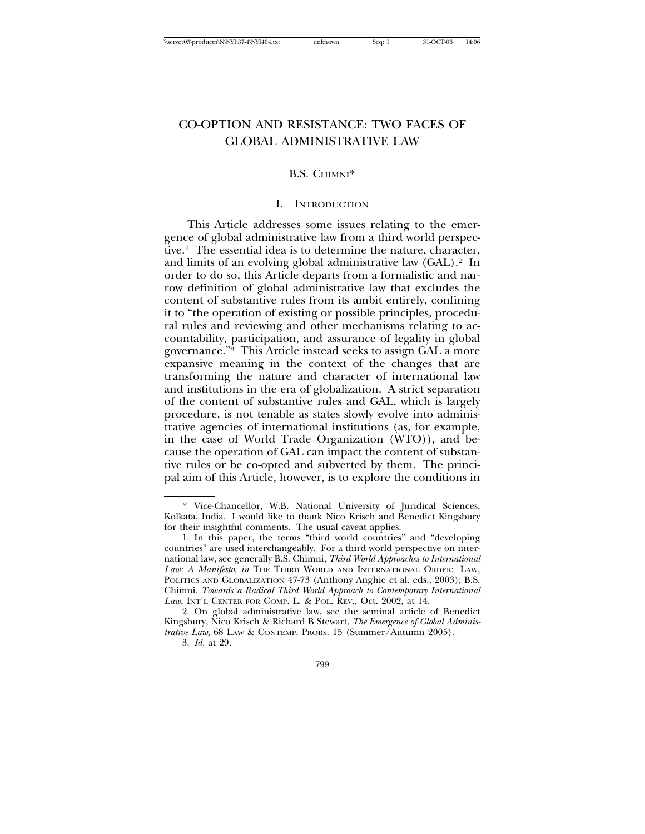# CO-OPTION AND RESISTANCE: TWO FACES OF GLOBAL ADMINISTRATIVE LAW

# B.S. CHIMNI\*

# I. INTRODUCTION

This Article addresses some issues relating to the emergence of global administrative law from a third world perspective.1 The essential idea is to determine the nature, character, and limits of an evolving global administrative law (GAL).2 In order to do so, this Article departs from a formalistic and narrow definition of global administrative law that excludes the content of substantive rules from its ambit entirely, confining it to "the operation of existing or possible principles, procedural rules and reviewing and other mechanisms relating to accountability, participation, and assurance of legality in global governance."3 This Article instead seeks to assign GAL a more expansive meaning in the context of the changes that are transforming the nature and character of international law and institutions in the era of globalization. A strict separation of the content of substantive rules and GAL, which is largely procedure, is not tenable as states slowly evolve into administrative agencies of international institutions (as, for example, in the case of World Trade Organization (WTO)), and because the operation of GAL can impact the content of substantive rules or be co-opted and subverted by them. The principal aim of this Article, however, is to explore the conditions in

799

<sup>\*</sup> Vice-Chancellor, W.B. National University of Juridical Sciences, Kolkata, India. I would like to thank Nico Krisch and Benedict Kingsbury for their insightful comments. The usual caveat applies.

<sup>1.</sup> In this paper, the terms "third world countries" and "developing countries" are used interchangeably. For a third world perspective on international law, see generally B.S. Chimni, *Third World Approaches to International* Law: A Manifesto, in THE THIRD WORLD AND INTERNATIONAL ORDER: LAW, POLITICS AND GLOBALIZATION 47-73 (Anthony Anghie et al. eds., 2003); B.S. Chimni, *Towards a Radical Third World Approach to Contemporary International* Law, INT'L CENTER FOR COMP. L. & POL. REV., Oct. 2002, at 14.

<sup>2.</sup> On global administrative law, see the seminal article of Benedict Kingsbury, Nico Krisch & Richard B Stewart, *The Emergence of Global Administrative Law*, 68 LAW & CONTEMP. PROBS. 15 (Summer/Autumn 2005).

<sup>3.</sup> *Id.* at 29.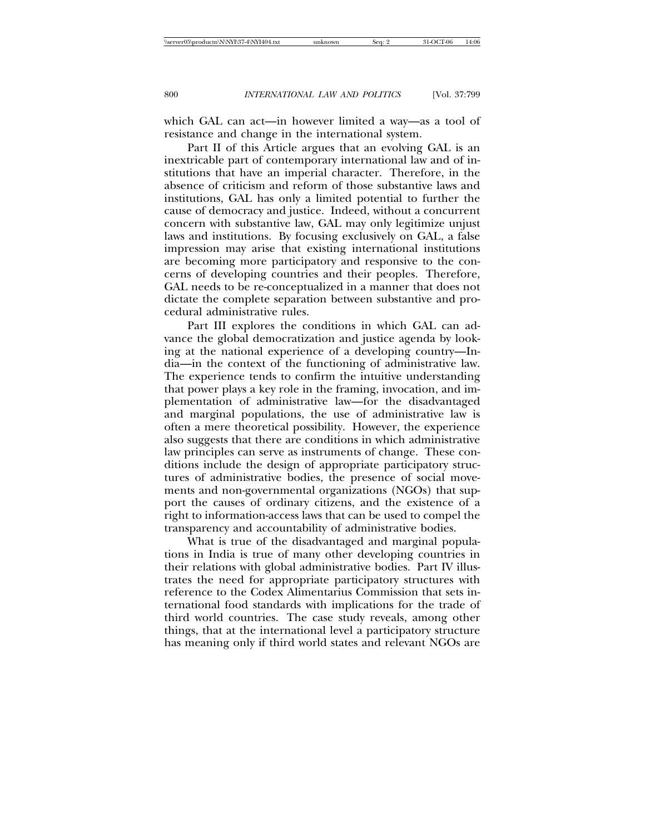which GAL can act—in however limited a way—as a tool of resistance and change in the international system.

Part II of this Article argues that an evolving GAL is an inextricable part of contemporary international law and of institutions that have an imperial character. Therefore, in the absence of criticism and reform of those substantive laws and institutions, GAL has only a limited potential to further the cause of democracy and justice. Indeed, without a concurrent concern with substantive law, GAL may only legitimize unjust laws and institutions. By focusing exclusively on GAL, a false impression may arise that existing international institutions are becoming more participatory and responsive to the concerns of developing countries and their peoples. Therefore, GAL needs to be re-conceptualized in a manner that does not dictate the complete separation between substantive and procedural administrative rules.

Part III explores the conditions in which GAL can advance the global democratization and justice agenda by looking at the national experience of a developing country—India—in the context of the functioning of administrative law. The experience tends to confirm the intuitive understanding that power plays a key role in the framing, invocation, and implementation of administrative law—for the disadvantaged and marginal populations, the use of administrative law is often a mere theoretical possibility. However, the experience also suggests that there are conditions in which administrative law principles can serve as instruments of change. These conditions include the design of appropriate participatory structures of administrative bodies, the presence of social movements and non-governmental organizations (NGOs) that support the causes of ordinary citizens, and the existence of a right to information-access laws that can be used to compel the transparency and accountability of administrative bodies.

What is true of the disadvantaged and marginal populations in India is true of many other developing countries in their relations with global administrative bodies. Part IV illustrates the need for appropriate participatory structures with reference to the Codex Alimentarius Commission that sets international food standards with implications for the trade of third world countries. The case study reveals, among other things, that at the international level a participatory structure has meaning only if third world states and relevant NGOs are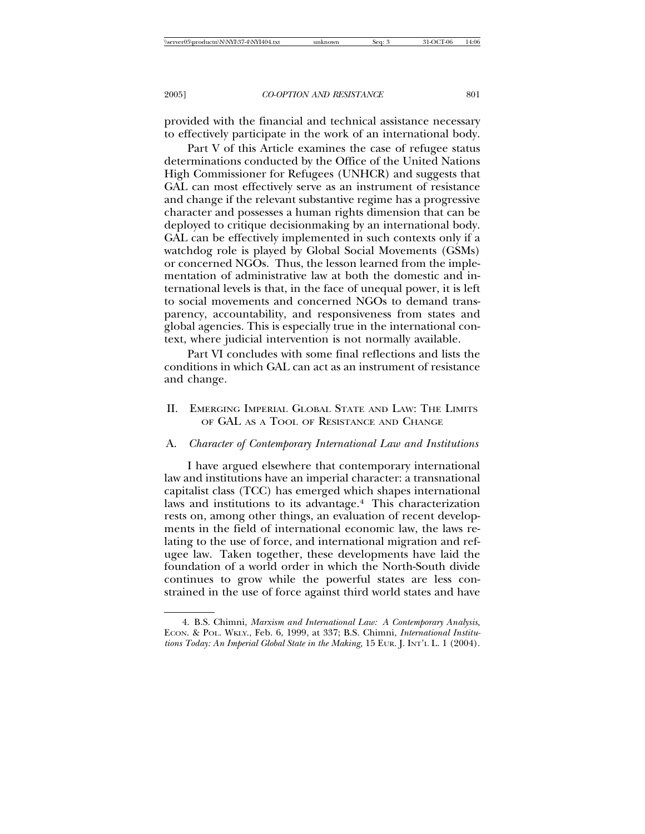provided with the financial and technical assistance necessary to effectively participate in the work of an international body.

Part V of this Article examines the case of refugee status determinations conducted by the Office of the United Nations High Commissioner for Refugees (UNHCR) and suggests that GAL can most effectively serve as an instrument of resistance and change if the relevant substantive regime has a progressive character and possesses a human rights dimension that can be deployed to critique decisionmaking by an international body. GAL can be effectively implemented in such contexts only if a watchdog role is played by Global Social Movements (GSMs) or concerned NGOs. Thus, the lesson learned from the implementation of administrative law at both the domestic and international levels is that, in the face of unequal power, it is left to social movements and concerned NGOs to demand transparency, accountability, and responsiveness from states and global agencies. This is especially true in the international context, where judicial intervention is not normally available.

Part VI concludes with some final reflections and lists the conditions in which GAL can act as an instrument of resistance and change.

II. EMERGING IMPERIAL GLOBAL STATE AND LAW: THE LIMITS OF GAL AS A TOOL OF RESISTANCE AND CHANGE

#### A. *Character of Contemporary International Law and Institutions*

I have argued elsewhere that contemporary international law and institutions have an imperial character: a transnational capitalist class (TCC) has emerged which shapes international laws and institutions to its advantage.4 This characterization rests on, among other things, an evaluation of recent developments in the field of international economic law, the laws relating to the use of force, and international migration and refugee law. Taken together, these developments have laid the foundation of a world order in which the North-South divide continues to grow while the powerful states are less constrained in the use of force against third world states and have

<sup>4.</sup> B.S. Chimni, *Marxism and International Law: A Contemporary Analysis,* ECON. & POL. WKLY., Feb. 6, 1999, at 337; B.S. Chimni, *International Institutions Today: An Imperial Global State in the Making,* 15 EUR. J. INT'L L. 1 (2004).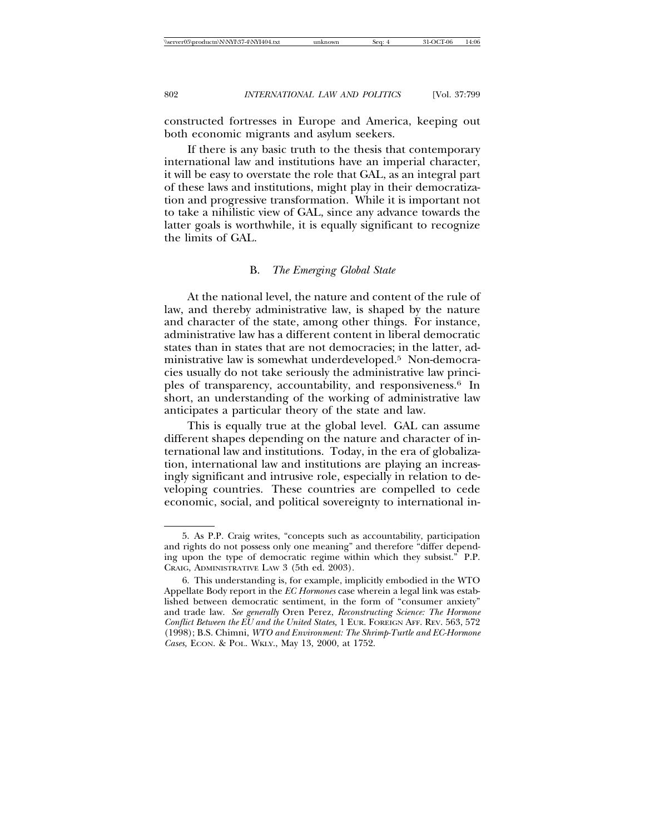constructed fortresses in Europe and America, keeping out both economic migrants and asylum seekers.

If there is any basic truth to the thesis that contemporary international law and institutions have an imperial character, it will be easy to overstate the role that GAL, as an integral part of these laws and institutions, might play in their democratization and progressive transformation. While it is important not to take a nihilistic view of GAL, since any advance towards the latter goals is worthwhile, it is equally significant to recognize the limits of GAL.

# B. *The Emerging Global State*

At the national level, the nature and content of the rule of law, and thereby administrative law, is shaped by the nature and character of the state, among other things. For instance, administrative law has a different content in liberal democratic states than in states that are not democracies; in the latter, administrative law is somewhat underdeveloped.5 Non-democracies usually do not take seriously the administrative law principles of transparency, accountability, and responsiveness.6 In short, an understanding of the working of administrative law anticipates a particular theory of the state and law.

This is equally true at the global level. GAL can assume different shapes depending on the nature and character of international law and institutions. Today, in the era of globalization, international law and institutions are playing an increasingly significant and intrusive role, especially in relation to developing countries. These countries are compelled to cede economic, social, and political sovereignty to international in-

<sup>5.</sup> As P.P. Craig writes, "concepts such as accountability, participation and rights do not possess only one meaning" and therefore "differ depending upon the type of democratic regime within which they subsist." P.P. CRAIG, ADMINISTRATIVE LAW 3 (5th ed. 2003).

<sup>6.</sup> This understanding is, for example, implicitly embodied in the WTO Appellate Body report in the *EC Hormones* case wherein a legal link was established between democratic sentiment, in the form of "consumer anxiety" and trade law. *See generally* Oren Perez, *Reconstructing Science: The Hormone Conflict Between the EU and the United States,* 1 EUR. FOREIGN AFF. REV. 563, 572 (1998); B.S. Chimni, *WTO and Environment: The Shrimp-Turtle and EC-Hormone Cases,* ECON. & POL. WKLY., May 13, 2000, at 1752.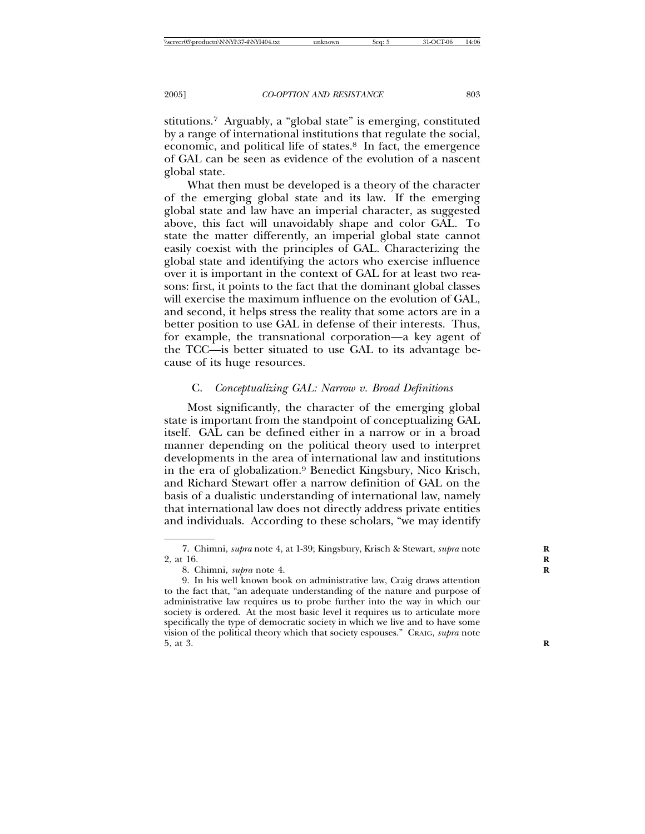stitutions.7 Arguably, a "global state" is emerging, constituted by a range of international institutions that regulate the social, economic, and political life of states.8 In fact, the emergence of GAL can be seen as evidence of the evolution of a nascent global state.

What then must be developed is a theory of the character of the emerging global state and its law. If the emerging global state and law have an imperial character, as suggested above, this fact will unavoidably shape and color GAL. To state the matter differently, an imperial global state cannot easily coexist with the principles of GAL. Characterizing the global state and identifying the actors who exercise influence over it is important in the context of GAL for at least two reasons: first, it points to the fact that the dominant global classes will exercise the maximum influence on the evolution of GAL, and second, it helps stress the reality that some actors are in a better position to use GAL in defense of their interests. Thus, for example, the transnational corporation—a key agent of the TCC—is better situated to use GAL to its advantage because of its huge resources.

# C. *Conceptualizing GAL: Narrow v. Broad Definitions*

Most significantly, the character of the emerging global state is important from the standpoint of conceptualizing GAL itself. GAL can be defined either in a narrow or in a broad manner depending on the political theory used to interpret developments in the area of international law and institutions in the era of globalization.9 Benedict Kingsbury, Nico Krisch, and Richard Stewart offer a narrow definition of GAL on the basis of a dualistic understanding of international law, namely that international law does not directly address private entities and individuals. According to these scholars, "we may identify

<sup>7.</sup> Chimni, *supra* note 4, at 1-39; Kingsbury, Krisch & Stewart, *supra* note **R** 2, at 16. **R**

<sup>8.</sup> Chimni, *supra* note 4. **R**

<sup>9.</sup> In his well known book on administrative law, Craig draws attention to the fact that, "an adequate understanding of the nature and purpose of administrative law requires us to probe further into the way in which our society is ordered. At the most basic level it requires us to articulate more specifically the type of democratic society in which we live and to have some vision of the political theory which that society espouses." CRAIG, *supra* note 5, at 3. **R**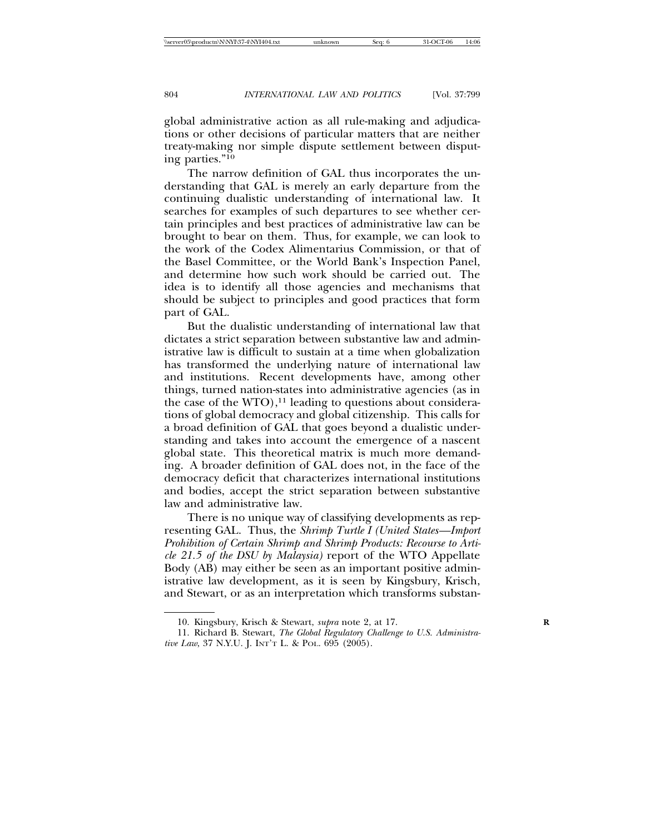global administrative action as all rule-making and adjudications or other decisions of particular matters that are neither treaty-making nor simple dispute settlement between disputing parties."10

The narrow definition of GAL thus incorporates the understanding that GAL is merely an early departure from the continuing dualistic understanding of international law. It searches for examples of such departures to see whether certain principles and best practices of administrative law can be brought to bear on them. Thus, for example, we can look to the work of the Codex Alimentarius Commission, or that of the Basel Committee, or the World Bank's Inspection Panel, and determine how such work should be carried out. The idea is to identify all those agencies and mechanisms that should be subject to principles and good practices that form part of GAL.

But the dualistic understanding of international law that dictates a strict separation between substantive law and administrative law is difficult to sustain at a time when globalization has transformed the underlying nature of international law and institutions. Recent developments have, among other things, turned nation-states into administrative agencies (as in the case of the  $WTO$ ),<sup>11</sup> leading to questions about considerations of global democracy and global citizenship. This calls for a broad definition of GAL that goes beyond a dualistic understanding and takes into account the emergence of a nascent global state. This theoretical matrix is much more demanding. A broader definition of GAL does not, in the face of the democracy deficit that characterizes international institutions and bodies, accept the strict separation between substantive law and administrative law.

There is no unique way of classifying developments as representing GAL. Thus, the *Shrimp Turtle I (United States—Import Prohibition of Certain Shrimp and Shrimp Products: Recourse to Article 21.5 of the DSU by Malaysia)* report of the WTO Appellate Body (AB) may either be seen as an important positive administrative law development, as it is seen by Kingsbury, Krisch, and Stewart, or as an interpretation which transforms substan-

<sup>10.</sup> Kingsbury, Krisch & Stewart, *supra* note 2, at 17. **R**

<sup>11.</sup> Richard B. Stewart, *The Global Regulatory Challenge to U.S. Administrative Law*, 37 N.Y.U. J. INT'T L. & POL. 695 (2005).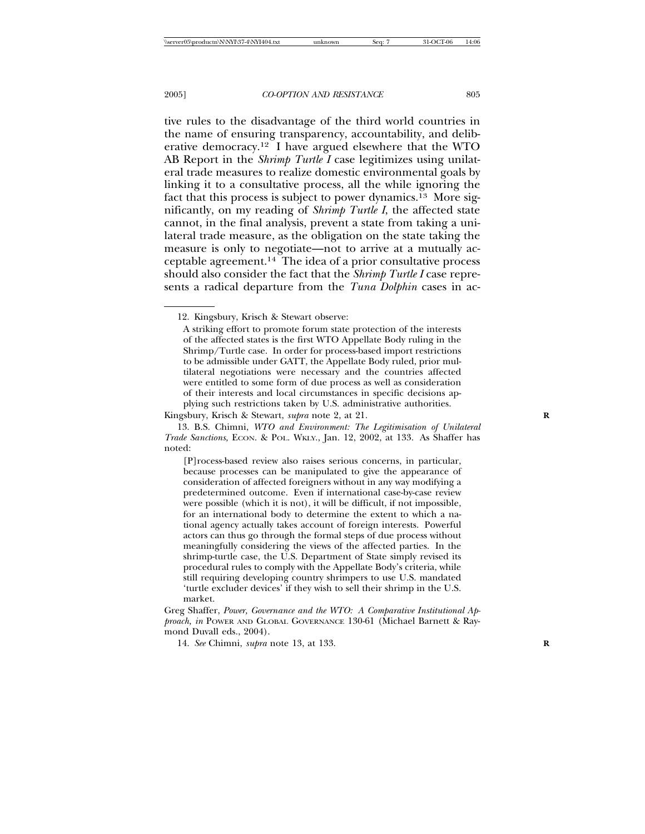tive rules to the disadvantage of the third world countries in the name of ensuring transparency, accountability, and deliberative democracy.12 I have argued elsewhere that the WTO AB Report in the *Shrimp Turtle I* case legitimizes using unilateral trade measures to realize domestic environmental goals by linking it to a consultative process, all the while ignoring the fact that this process is subject to power dynamics.13 More significantly, on my reading of *Shrimp Turtle I*, the affected state cannot, in the final analysis, prevent a state from taking a unilateral trade measure, as the obligation on the state taking the measure is only to negotiate—not to arrive at a mutually acceptable agreement.14 The idea of a prior consultative process should also consider the fact that the *Shrimp Turtle I* case represents a radical departure from the *Tuna Dolphin* cases in ac-

<sup>12.</sup> Kingsbury, Krisch & Stewart observe:

A striking effort to promote forum state protection of the interests of the affected states is the first WTO Appellate Body ruling in the Shrimp/Turtle case. In order for process-based import restrictions to be admissible under GATT, the Appellate Body ruled, prior multilateral negotiations were necessary and the countries affected were entitled to some form of due process as well as consideration of their interests and local circumstances in specific decisions applying such restrictions taken by U.S. administrative authorities.

Kingsbury, Krisch & Stewart, *supra* note 2, at 21. **R**

<sup>13.</sup> B.S. Chimni, *WTO and Environment: The Legitimisation of Unilateral Trade Sanctions,* ECON. & POL. WKLY., Jan. 12, 2002, at 133. As Shaffer has noted:

<sup>[</sup>P]rocess-based review also raises serious concerns, in particular, because processes can be manipulated to give the appearance of consideration of affected foreigners without in any way modifying a predetermined outcome. Even if international case-by-case review were possible (which it is not), it will be difficult, if not impossible, for an international body to determine the extent to which a national agency actually takes account of foreign interests. Powerful actors can thus go through the formal steps of due process without meaningfully considering the views of the affected parties. In the shrimp-turtle case, the U.S. Department of State simply revised its procedural rules to comply with the Appellate Body's criteria, while still requiring developing country shrimpers to use U.S. mandated 'turtle excluder devices' if they wish to sell their shrimp in the U.S. market.

Greg Shaffer, *Power, Governance and the WTO: A Comparative Institutional Approach, in* POWER AND GLOBAL GOVERNANCE 130-61 (Michael Barnett & Raymond Duvall eds., 2004).

<sup>14.</sup> *See* Chimni, *supra* note 13, at 133. **R**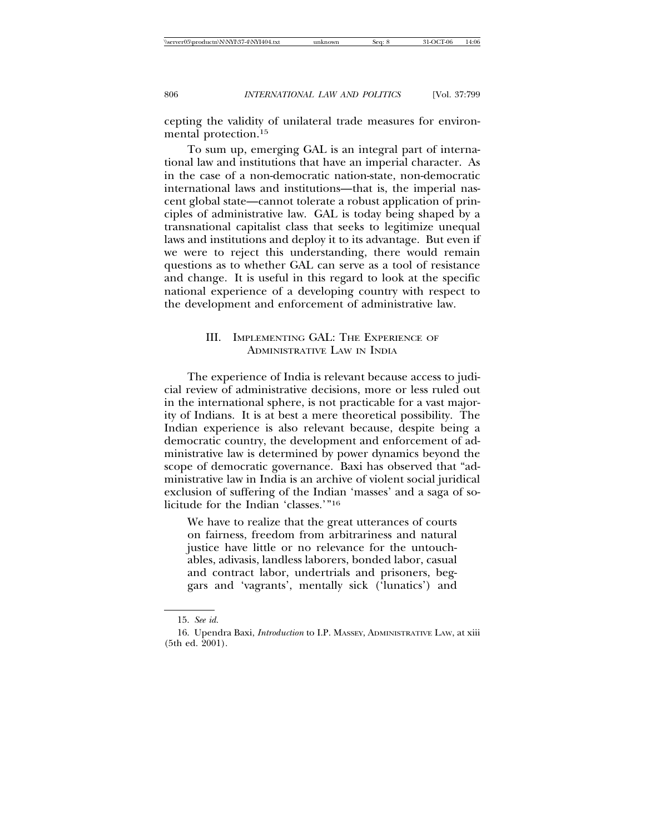cepting the validity of unilateral trade measures for environmental protection.15

To sum up, emerging GAL is an integral part of international law and institutions that have an imperial character. As in the case of a non-democratic nation-state, non-democratic international laws and institutions—that is, the imperial nascent global state—cannot tolerate a robust application of principles of administrative law. GAL is today being shaped by a transnational capitalist class that seeks to legitimize unequal laws and institutions and deploy it to its advantage. But even if we were to reject this understanding, there would remain questions as to whether GAL can serve as a tool of resistance and change. It is useful in this regard to look at the specific national experience of a developing country with respect to the development and enforcement of administrative law.

# III. IMPLEMENTING GAL: THE EXPERIENCE OF ADMINISTRATIVE LAW IN INDIA

The experience of India is relevant because access to judicial review of administrative decisions, more or less ruled out in the international sphere, is not practicable for a vast majority of Indians. It is at best a mere theoretical possibility. The Indian experience is also relevant because, despite being a democratic country, the development and enforcement of administrative law is determined by power dynamics beyond the scope of democratic governance. Baxi has observed that "administrative law in India is an archive of violent social juridical exclusion of suffering of the Indian 'masses' and a saga of solicitude for the Indian 'classes.'"16

We have to realize that the great utterances of courts on fairness, freedom from arbitrariness and natural justice have little or no relevance for the untouchables, adivasis, landless laborers, bonded labor, casual and contract labor, undertrials and prisoners, beggars and 'vagrants', mentally sick ('lunatics') and

<sup>15.</sup> *See id.*

<sup>16.</sup> Upendra Baxi, *Introduction* to I.P. MASSEY, ADMINISTRATIVE LAW, at xiii (5th ed. 2001).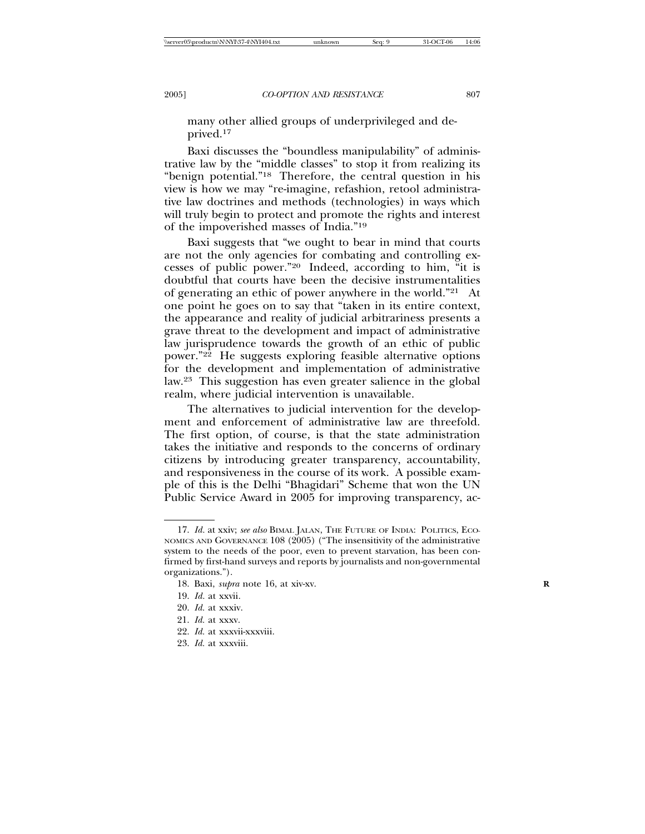many other allied groups of underprivileged and deprived.17

Baxi discusses the "boundless manipulability" of administrative law by the "middle classes" to stop it from realizing its "benign potential."18 Therefore, the central question in his view is how we may "re-imagine, refashion, retool administrative law doctrines and methods (technologies) in ways which will truly begin to protect and promote the rights and interest of the impoverished masses of India."19

Baxi suggests that "we ought to bear in mind that courts are not the only agencies for combating and controlling excesses of public power."20 Indeed, according to him, "it is doubtful that courts have been the decisive instrumentalities of generating an ethic of power anywhere in the world."21 At one point he goes on to say that "taken in its entire context, the appearance and reality of judicial arbitrariness presents a grave threat to the development and impact of administrative law jurisprudence towards the growth of an ethic of public power."22 He suggests exploring feasible alternative options for the development and implementation of administrative law.23 This suggestion has even greater salience in the global realm, where judicial intervention is unavailable.

The alternatives to judicial intervention for the development and enforcement of administrative law are threefold. The first option, of course, is that the state administration takes the initiative and responds to the concerns of ordinary citizens by introducing greater transparency, accountability, and responsiveness in the course of its work. A possible example of this is the Delhi "Bhagidari" Scheme that won the UN Public Service Award in 2005 for improving transparency, ac-

<sup>17.</sup> *Id.* at xxiv; *see also* BIMAL JALAN, THE FUTURE OF INDIA: POLITICS, ECO-NOMICS AND GOVERNANCE 108 (2005) ("The insensitivity of the administrative system to the needs of the poor, even to prevent starvation, has been confirmed by first-hand surveys and reports by journalists and non-governmental organizations.").

<sup>18.</sup> Baxi, *supra* note 16, at xiv-xv. **R**

<sup>19.</sup> *Id.* at xxvii.

<sup>20.</sup> *Id.* at xxxiv.

<sup>21.</sup> *Id.* at xxxv.

<sup>22.</sup> *Id.* at xxxvii-xxxviii.

<sup>23.</sup> *Id.* at xxxviii.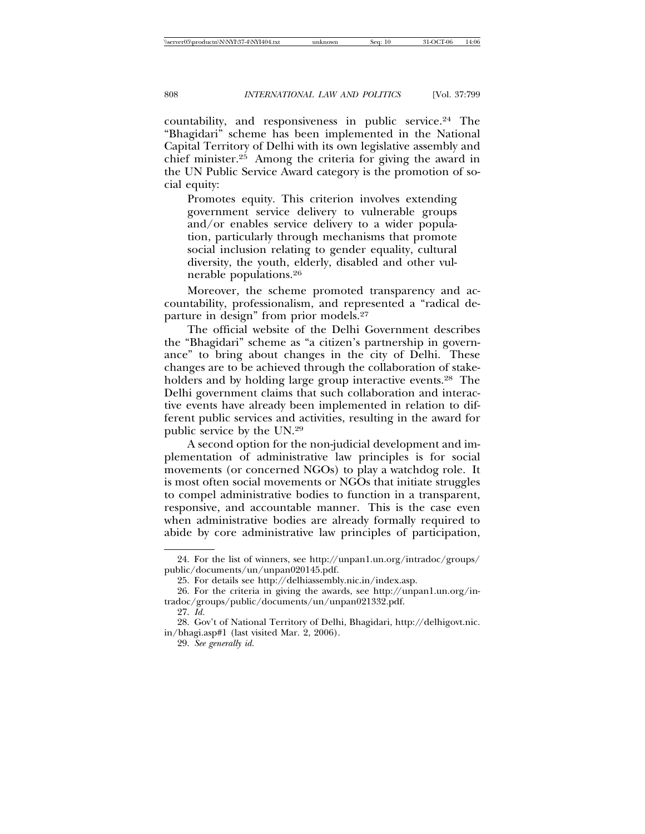countability, and responsiveness in public service.24 The "Bhagidari" scheme has been implemented in the National Capital Territory of Delhi with its own legislative assembly and chief minister.25 Among the criteria for giving the award in the UN Public Service Award category is the promotion of social equity:

Promotes equity. This criterion involves extending government service delivery to vulnerable groups and/or enables service delivery to a wider population, particularly through mechanisms that promote social inclusion relating to gender equality, cultural diversity, the youth, elderly, disabled and other vulnerable populations.26

Moreover, the scheme promoted transparency and accountability, professionalism, and represented a "radical departure in design" from prior models.27

The official website of the Delhi Government describes the "Bhagidari" scheme as "a citizen's partnership in governance" to bring about changes in the city of Delhi. These changes are to be achieved through the collaboration of stakeholders and by holding large group interactive events.<sup>28</sup> The Delhi government claims that such collaboration and interactive events have already been implemented in relation to different public services and activities, resulting in the award for public service by the UN.29

A second option for the non-judicial development and implementation of administrative law principles is for social movements (or concerned NGOs) to play a watchdog role. It is most often social movements or NGOs that initiate struggles to compel administrative bodies to function in a transparent, responsive, and accountable manner. This is the case even when administrative bodies are already formally required to abide by core administrative law principles of participation,

<sup>24.</sup> For the list of winners, see http://unpan1.un.org/intradoc/groups/ public/documents/un/unpan020145.pdf.

<sup>25.</sup> For details see http://delhiassembly.nic.in/index.asp.

<sup>26.</sup> For the criteria in giving the awards, see http://unpan1.un.org/intradoc/groups/public/documents/un/unpan021332.pdf.

<sup>27.</sup> *Id.*

<sup>28.</sup> Gov't of National Territory of Delhi, Bhagidari, http://delhigovt.nic. in/bhagi.asp#1 (last visited Mar. 2, 2006).

<sup>29.</sup> *See generally id.*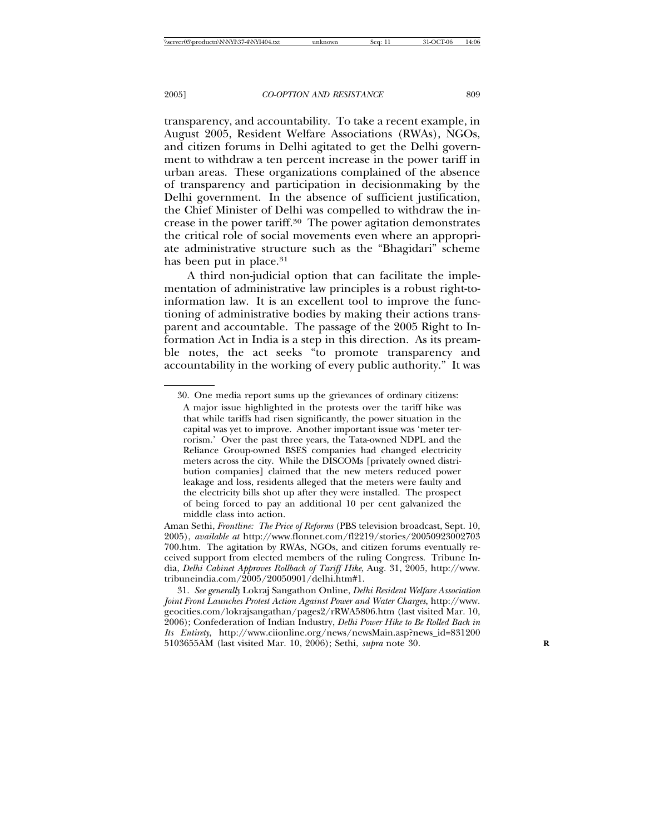transparency, and accountability. To take a recent example, in August 2005, Resident Welfare Associations (RWAs), NGOs, and citizen forums in Delhi agitated to get the Delhi government to withdraw a ten percent increase in the power tariff in urban areas. These organizations complained of the absence of transparency and participation in decisionmaking by the Delhi government. In the absence of sufficient justification, the Chief Minister of Delhi was compelled to withdraw the increase in the power tariff.30 The power agitation demonstrates the critical role of social movements even where an appropriate administrative structure such as the "Bhagidari" scheme has been put in place.<sup>31</sup>

A third non-judicial option that can facilitate the implementation of administrative law principles is a robust right-toinformation law. It is an excellent tool to improve the functioning of administrative bodies by making their actions transparent and accountable. The passage of the 2005 Right to Information Act in India is a step in this direction. As its preamble notes, the act seeks "to promote transparency and accountability in the working of every public authority." It was

<sup>30.</sup> One media report sums up the grievances of ordinary citizens:

A major issue highlighted in the protests over the tariff hike was that while tariffs had risen significantly, the power situation in the capital was yet to improve. Another important issue was 'meter terrorism.' Over the past three years, the Tata-owned NDPL and the Reliance Group-owned BSES companies had changed electricity meters across the city. While the DISCOMs [privately owned distribution companies] claimed that the new meters reduced power leakage and loss, residents alleged that the meters were faulty and the electricity bills shot up after they were installed. The prospect of being forced to pay an additional 10 per cent galvanized the middle class into action.

Aman Sethi, *Frontline: The Price of Reforms* (PBS television broadcast, Sept. 10, 2005), *available at* http://www.flonnet.com/fl2219/stories/20050923002703 700.htm. The agitation by RWAs, NGOs, and citizen forums eventually received support from elected members of the ruling Congress. Tribune India, *Delhi Cabinet Approves Rollback of Tariff Hike*, Aug. 31, 2005, http://www. tribuneindia.com/2005/20050901/delhi.htm#1.

<sup>31.</sup> *See generally* Lokraj Sangathon Online, *Delhi Resident Welfare Association Joint Front Launches Protest Action Against Power and Water Charges*, http://www. geocities.com/lokrajsangathan/pages2/rRWA5806.htm (last visited Mar. 10, 2006); Confederation of Indian Industry, *Delhi Power Hike to Be Rolled Back in Its Entirety*, http://www.ciionline.org/news/newsMain.asp?news\_id=831200 5103655AM (last visited Mar. 10, 2006); Sethi, *supra* note 30. **R**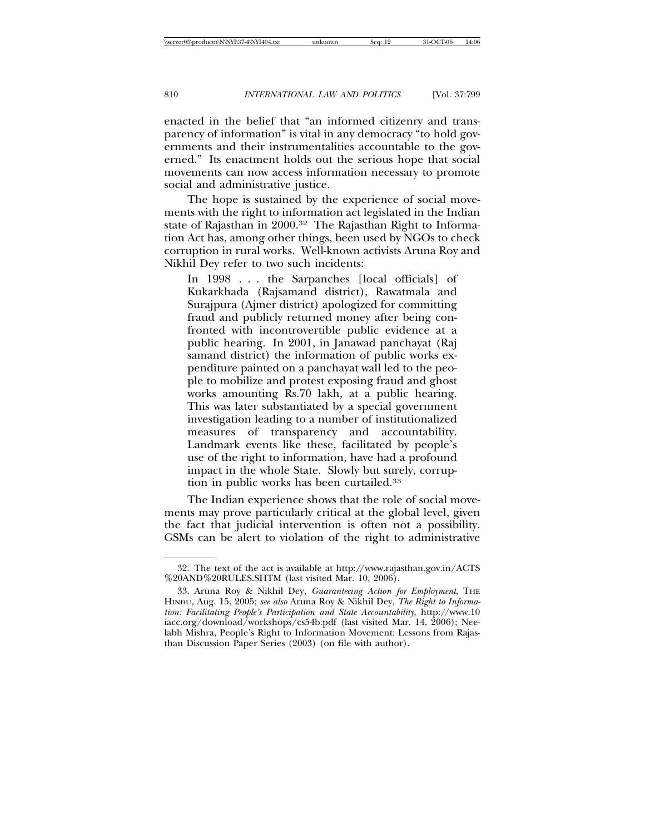enacted in the belief that "an informed citizenry and transparency of information" is vital in any democracy "to hold governments and their instrumentalities accountable to the governed." Its enactment holds out the serious hope that social movements can now access information necessary to promote social and administrative justice.

The hope is sustained by the experience of social movements with the right to information act legislated in the Indian state of Rajasthan in 2000.<sup>32</sup> The Rajasthan Right to Information Act has, among other things, been used by NGOs to check corruption in rural works. Well-known activists Aruna Roy and Nikhil Dey refer to two such incidents:

In 1998 . . . the Sarpanches [local officials] of Kukarkhada (Rajsamand district), Rawatmala and Surajpura (Ajmer district) apologized for committing fraud and publicly returned money after being confronted with incontrovertible public evidence at a public hearing. In 2001, in Janawad panchayat (Raj samand district) the information of public works expenditure painted on a panchayat wall led to the people to mobilize and protest exposing fraud and ghost works amounting Rs.70 lakh, at a public hearing. This was later substantiated by a special government investigation leading to a number of institutionalized measures of transparency and accountability. Landmark events like these, facilitated by people's use of the right to information, have had a profound impact in the whole State. Slowly but surely, corruption in public works has been curtailed.33

The Indian experience shows that the role of social movements may prove particularly critical at the global level, given the fact that judicial intervention is often not a possibility. GSMs can be alert to violation of the right to administrative

<sup>32.</sup> The text of the act is available at http://www.rajasthan.gov.in/ACTS %20AND%20RULES.SHTM (last visited Mar. 10, 2006).

<sup>33.</sup> Aruna Roy & Nikhil Dey, *Guaranteeing Action for Employment*, THE HINDU, Aug. 15, 2005; *see also* Aruna Roy & Nikhil Dey, *The Right to Information: Facilitating People's Participation and State Accountability*, http://www.10 iacc.org/download/workshops/cs54b.pdf (last visited Mar. 14, 2006); Neelabh Mishra, People's Right to Information Movement: Lessons from Rajasthan Discussion Paper Series (2003) (on file with author).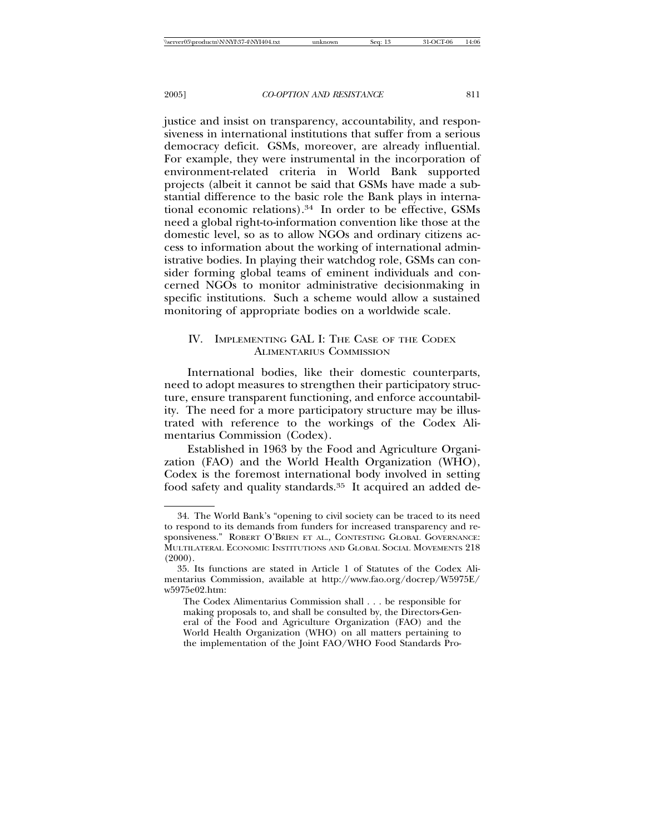justice and insist on transparency, accountability, and responsiveness in international institutions that suffer from a serious democracy deficit. GSMs, moreover, are already influential. For example, they were instrumental in the incorporation of environment-related criteria in World Bank supported projects (albeit it cannot be said that GSMs have made a substantial difference to the basic role the Bank plays in international economic relations).34 In order to be effective, GSMs need a global right-to-information convention like those at the domestic level, so as to allow NGOs and ordinary citizens access to information about the working of international administrative bodies. In playing their watchdog role, GSMs can consider forming global teams of eminent individuals and concerned NGOs to monitor administrative decisionmaking in specific institutions. Such a scheme would allow a sustained monitoring of appropriate bodies on a worldwide scale.

# IV. IMPLEMENTING GAL I: THE CASE OF THE CODEX ALIMENTARIUS COMMISSION

International bodies, like their domestic counterparts, need to adopt measures to strengthen their participatory structure, ensure transparent functioning, and enforce accountability. The need for a more participatory structure may be illustrated with reference to the workings of the Codex Alimentarius Commission (Codex).

Established in 1963 by the Food and Agriculture Organization (FAO) and the World Health Organization (WHO), Codex is the foremost international body involved in setting food safety and quality standards.<sup>35</sup> It acquired an added de-

<sup>34.</sup> The World Bank's "opening to civil society can be traced to its need to respond to its demands from funders for increased transparency and responsiveness." ROBERT O'BRIEN ET AL., CONTESTING GLOBAL GOVERNANCE: MULTILATERAL ECONOMIC INSTITUTIONS AND GLOBAL SOCIAL MOVEMENTS 218  $(2000)$ .

<sup>35.</sup> Its functions are stated in Article 1 of Statutes of the Codex Alimentarius Commission, available at http://www.fao.org/docrep/W5975E/ w5975e02.htm:

The Codex Alimentarius Commission shall . . . be responsible for making proposals to, and shall be consulted by, the Directors-General of the Food and Agriculture Organization (FAO) and the World Health Organization (WHO) on all matters pertaining to the implementation of the Joint FAO/WHO Food Standards Pro-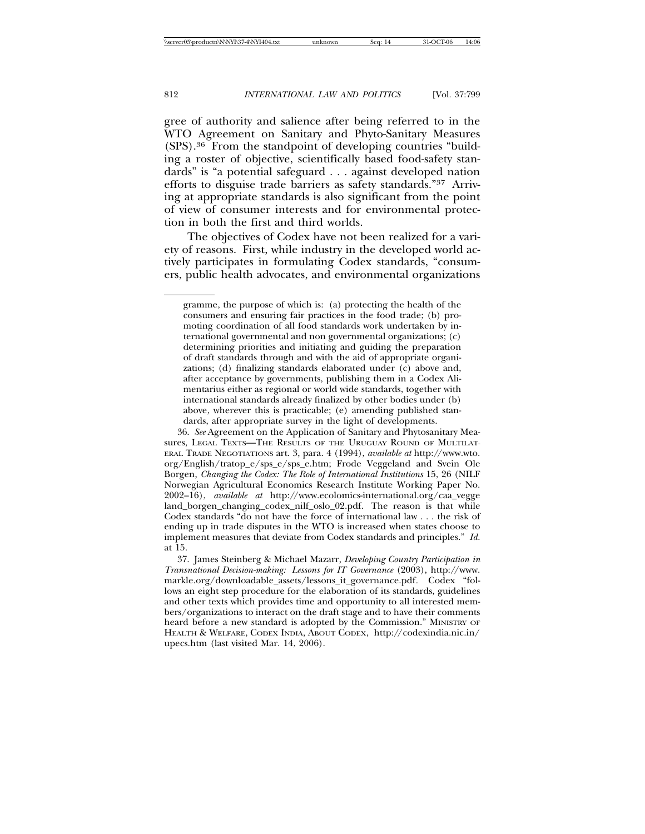gree of authority and salience after being referred to in the WTO Agreement on Sanitary and Phyto-Sanitary Measures (SPS).36 From the standpoint of developing countries "building a roster of objective, scientifically based food-safety standards" is "a potential safeguard . . . against developed nation efforts to disguise trade barriers as safety standards."37 Arriving at appropriate standards is also significant from the point of view of consumer interests and for environmental protection in both the first and third worlds.

The objectives of Codex have not been realized for a variety of reasons. First, while industry in the developed world actively participates in formulating Codex standards, "consumers, public health advocates, and environmental organizations

36. *See* Agreement on the Application of Sanitary and Phytosanitary Measures, LEGAL TEXTS-THE RESULTS OF THE URUGUAY ROUND OF MULTILAT-ERAL TRADE NEGOTIATIONS art. 3, para. 4 (1994), *available at* http://www.wto. org/English/tratop\_e/sps\_e/sps\_e.htm; Frode Veggeland and Svein Ole Borgen, *Changing the Codex: The Role of International Institutions* 15, 26 (NILF Norwegian Agricultural Economics Research Institute Working Paper No. 2002–16), *available at* http://www.ecolomics-international.org/caa\_vegge land\_borgen\_changing\_codex\_nilf\_oslo\_02.pdf. The reason is that while Codex standards "do not have the force of international law . . . the risk of ending up in trade disputes in the WTO is increased when states choose to implement measures that deviate from Codex standards and principles." *Id.* at 15.

gramme, the purpose of which is: (a) protecting the health of the consumers and ensuring fair practices in the food trade; (b) promoting coordination of all food standards work undertaken by international governmental and non governmental organizations; (c) determining priorities and initiating and guiding the preparation of draft standards through and with the aid of appropriate organizations; (d) finalizing standards elaborated under (c) above and, after acceptance by governments, publishing them in a Codex Alimentarius either as regional or world wide standards, together with international standards already finalized by other bodies under (b) above, wherever this is practicable; (e) amending published standards, after appropriate survey in the light of developments.

<sup>37.</sup> James Steinberg & Michael Mazarr, *Developing Country Participation in Transnational Decision-making: Lessons for IT Governance* (2003), http://www. markle.org/downloadable\_assets/lessons\_it\_governance.pdf*.* Codex "follows an eight step procedure for the elaboration of its standards, guidelines and other texts which provides time and opportunity to all interested members/organizations to interact on the draft stage and to have their comments heard before a new standard is adopted by the Commission." MINISTRY OF HEALTH & WELFARE, CODEX INDIA, ABOUT CODEX, http://codexindia.nic.in/ upecs.htm (last visited Mar. 14, 2006).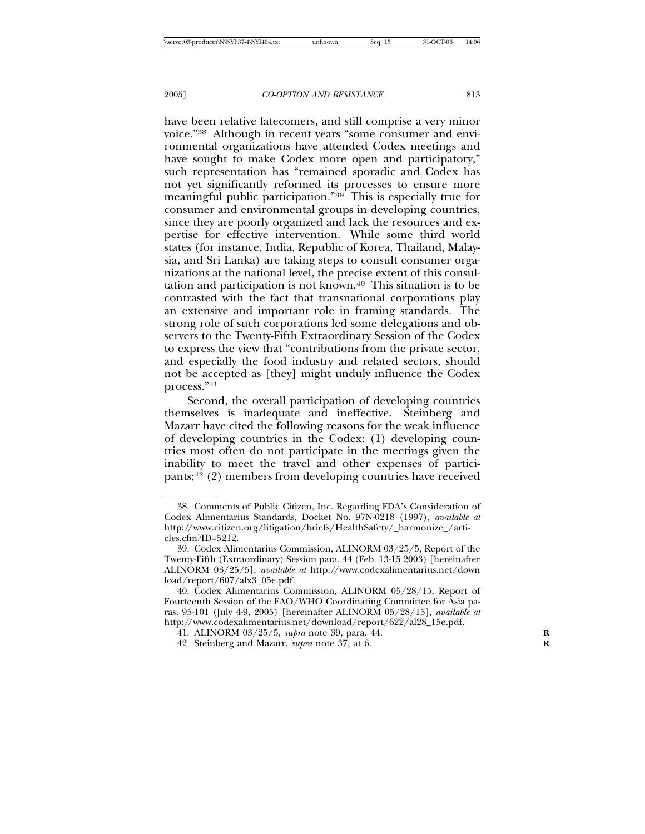have been relative latecomers, and still comprise a very minor voice."38 Although in recent years "some consumer and environmental organizations have attended Codex meetings and have sought to make Codex more open and participatory," such representation has "remained sporadic and Codex has not yet significantly reformed its processes to ensure more meaningful public participation."39 This is especially true for consumer and environmental groups in developing countries, since they are poorly organized and lack the resources and expertise for effective intervention. While some third world states (for instance, India, Republic of Korea, Thailand, Malaysia, and Sri Lanka) are taking steps to consult consumer organizations at the national level, the precise extent of this consultation and participation is not known.40 This situation is to be contrasted with the fact that transnational corporations play an extensive and important role in framing standards. The strong role of such corporations led some delegations and observers to the Twenty-Fifth Extraordinary Session of the Codex to express the view that "contributions from the private sector, and especially the food industry and related sectors, should not be accepted as [they] might unduly influence the Codex process."41

Second, the overall participation of developing countries themselves is inadequate and ineffective. Steinberg and Mazarr have cited the following reasons for the weak influence of developing countries in the Codex: (1) developing countries most often do not participate in the meetings given the inability to meet the travel and other expenses of participants;42 (2) members from developing countries have received

<sup>38.</sup> Comments of Public Citizen, Inc. Regarding FDA's Consideration of Codex Alimentarius Standards, Docket No. 97N-0218 (1997), *available at* http://www.citizen.org/litigation/briefs/HealthSafety/\_harmonize\_/articles.cfm?ID=5212.

<sup>39.</sup> Codex Alimentarius Commission, ALINORM 03/25/5, Report of the Twenty-Fifth (Extraordinary) Session para. 44 (Feb. 13-15 2003) [hereinafter ALINORM 03/25/5], *available at* http://www.codexalimentarius.net/down load/report/607/alx3\_05e.pdf.

<sup>40.</sup> Codex Alimentarius Commission, ALINORM 05/28/15, Report of Fourteenth Session of the FAO/WHO Coordinating Committee for Asia paras. 95-101 (July 4-9, 2005) [hereinafter ALINORM 05/28/15], *available at* http://www.codexalimentarius.net/download/report/622/al28\_15e.pdf.

<sup>41.</sup> ALINORM 03/25/5, *supra* note 39, para. 44. **R**

<sup>42.</sup> Steinberg and Mazarr, *supra* note 37, at 6. **R**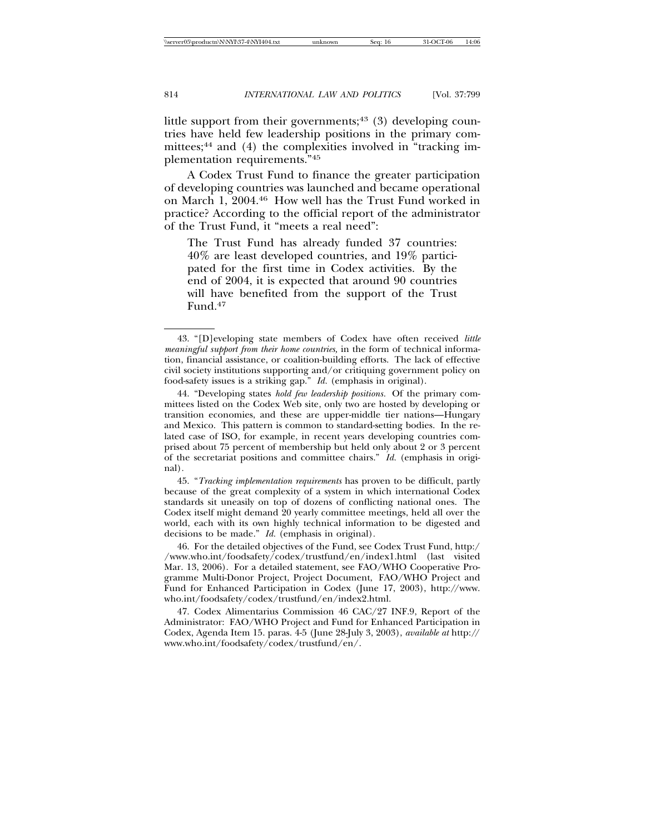little support from their governments; $43$  (3) developing countries have held few leadership positions in the primary committees;<sup>44</sup> and (4) the complexities involved in "tracking implementation requirements."45

A Codex Trust Fund to finance the greater participation of developing countries was launched and became operational on March 1, 2004.46 How well has the Trust Fund worked in practice? According to the official report of the administrator of the Trust Fund, it "meets a real need":

The Trust Fund has already funded 37 countries: 40% are least developed countries, and 19% participated for the first time in Codex activities. By the end of 2004, it is expected that around 90 countries will have benefited from the support of the Trust Fund.47

45. "*Tracking implementation requirements* has proven to be difficult, partly because of the great complexity of a system in which international Codex standards sit uneasily on top of dozens of conflicting national ones. The Codex itself might demand 20 yearly committee meetings, held all over the world, each with its own highly technical information to be digested and decisions to be made." *Id.* (emphasis in original)*.*

46. For the detailed objectives of the Fund, see Codex Trust Fund, http:/ /www.who.int/foodsafety/codex/trustfund/en/index1.html (last visited Mar. 13, 2006). For a detailed statement, see FAO/WHO Cooperative Programme Multi-Donor Project, Project Document, FAO/WHO Project and Fund for Enhanced Participation in Codex (June 17, 2003), http://www. who.int/foodsafety/codex/trustfund/en/index2.html.

47. Codex Alimentarius Commission 46 CAC/27 INF.9, Report of the Administrator: FAO/WHO Project and Fund for Enhanced Participation in Codex, Agenda Item 15. paras. 4-5 (June 28-July 3, 2003), *available at* http:// www.who.int/foodsafety/codex/trustfund/en/.

<sup>43. &</sup>quot;[D]eveloping state members of Codex have often received *little meaningful support from their home countries,* in the form of technical information, financial assistance, or coalition-building efforts. The lack of effective civil society institutions supporting and/or critiquing government policy on food-safety issues is a striking gap." *Id.* (emphasis in original).

<sup>44. &</sup>quot;Developing states *hold few leadership positions.* Of the primary committees listed on the Codex Web site, only two are hosted by developing or transition economies, and these are upper-middle tier nations—Hungary and Mexico. This pattern is common to standard-setting bodies. In the related case of ISO, for example, in recent years developing countries comprised about 75 percent of membership but held only about 2 or 3 percent of the secretariat positions and committee chairs." *Id.* (emphasis in original)*.*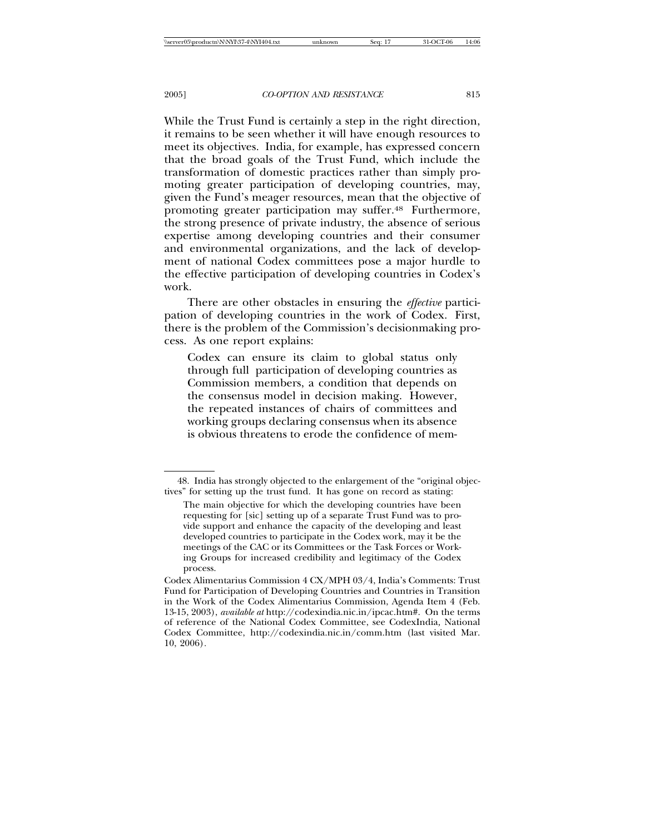While the Trust Fund is certainly a step in the right direction, it remains to be seen whether it will have enough resources to meet its objectives. India, for example, has expressed concern that the broad goals of the Trust Fund, which include the transformation of domestic practices rather than simply promoting greater participation of developing countries, may, given the Fund's meager resources, mean that the objective of promoting greater participation may suffer.48 Furthermore, the strong presence of private industry, the absence of serious expertise among developing countries and their consumer and environmental organizations, and the lack of development of national Codex committees pose a major hurdle to the effective participation of developing countries in Codex's work.

There are other obstacles in ensuring the *effective* participation of developing countries in the work of Codex. First, there is the problem of the Commission's decisionmaking process. As one report explains:

Codex can ensure its claim to global status only through full participation of developing countries as Commission members, a condition that depends on the consensus model in decision making. However, the repeated instances of chairs of committees and working groups declaring consensus when its absence is obvious threatens to erode the confidence of mem-

<sup>48.</sup> India has strongly objected to the enlargement of the "original objectives" for setting up the trust fund. It has gone on record as stating:

The main objective for which the developing countries have been requesting for [sic] setting up of a separate Trust Fund was to provide support and enhance the capacity of the developing and least developed countries to participate in the Codex work, may it be the meetings of the CAC or its Committees or the Task Forces or Working Groups for increased credibility and legitimacy of the Codex process.

Codex Alimentarius Commission 4 CX/MPH 03/4, India's Comments: Trust Fund for Participation of Developing Countries and Countries in Transition in the Work of the Codex Alimentarius Commission, Agenda Item 4 (Feb. 13-15, 2003), *available at* http://codexindia.nic.in/ipcac.htm#. On the terms of reference of the National Codex Committee, see CodexIndia*,* National Codex Committee, http://codexindia.nic.in/comm.htm (last visited Mar. 10, 2006)*.*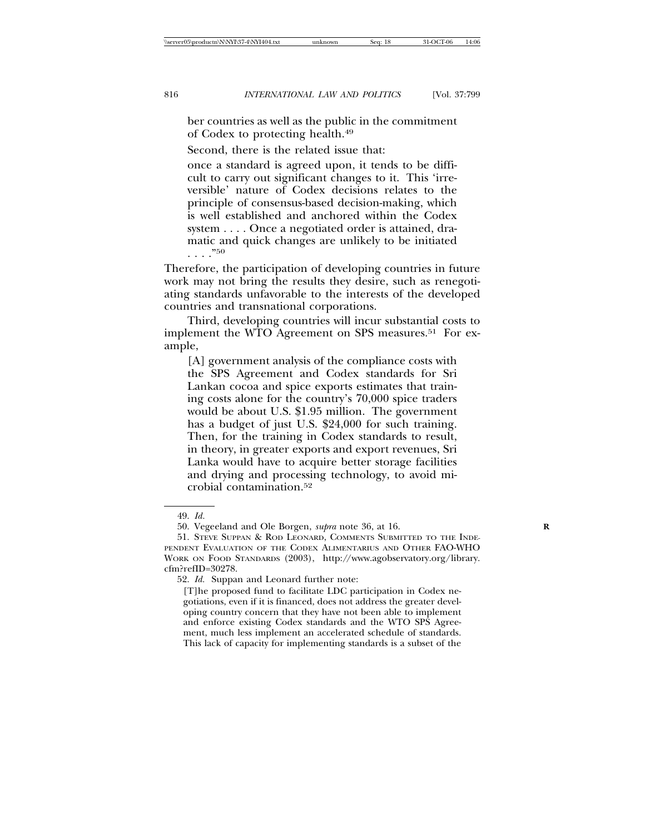ber countries as well as the public in the commitment of Codex to protecting health.49

Second, there is the related issue that:

once a standard is agreed upon, it tends to be difficult to carry out significant changes to it. This 'irreversible' nature of Codex decisions relates to the principle of consensus-based decision-making, which is well established and anchored within the Codex system . . . . Once a negotiated order is attained, dramatic and quick changes are unlikely to be initiated . . . ."50

Therefore, the participation of developing countries in future work may not bring the results they desire, such as renegotiating standards unfavorable to the interests of the developed countries and transnational corporations.

Third, developing countries will incur substantial costs to implement the WTO Agreement on SPS measures.<sup>51</sup> For example,

[A] government analysis of the compliance costs with the SPS Agreement and Codex standards for Sri Lankan cocoa and spice exports estimates that training costs alone for the country's 70,000 spice traders would be about U.S. \$1.95 million. The government has a budget of just U.S. \$24,000 for such training. Then, for the training in Codex standards to result, in theory, in greater exports and export revenues, Sri Lanka would have to acquire better storage facilities and drying and processing technology, to avoid microbial contamination.52

52. *Id.* Suppan and Leonard further note:

[T]he proposed fund to facilitate LDC participation in Codex negotiations, even if it is financed, does not address the greater developing country concern that they have not been able to implement and enforce existing Codex standards and the WTO SPS Agreement, much less implement an accelerated schedule of standards. This lack of capacity for implementing standards is a subset of the

<sup>49.</sup> *Id.*

<sup>50.</sup> Vegeeland and Ole Borgen, *supra* note 36, at 16. **R**

<sup>51.</sup> STEVE SUPPAN & ROD LEONARD, COMMENTS SUBMITTED TO THE INDE-PENDENT EVALUATION OF THE CODEX ALIMENTARIUS AND OTHER FAO-WHO WORK ON FOOD STANDARDS (2003), http://www.agobservatory.org/library. cfm?refID=30278.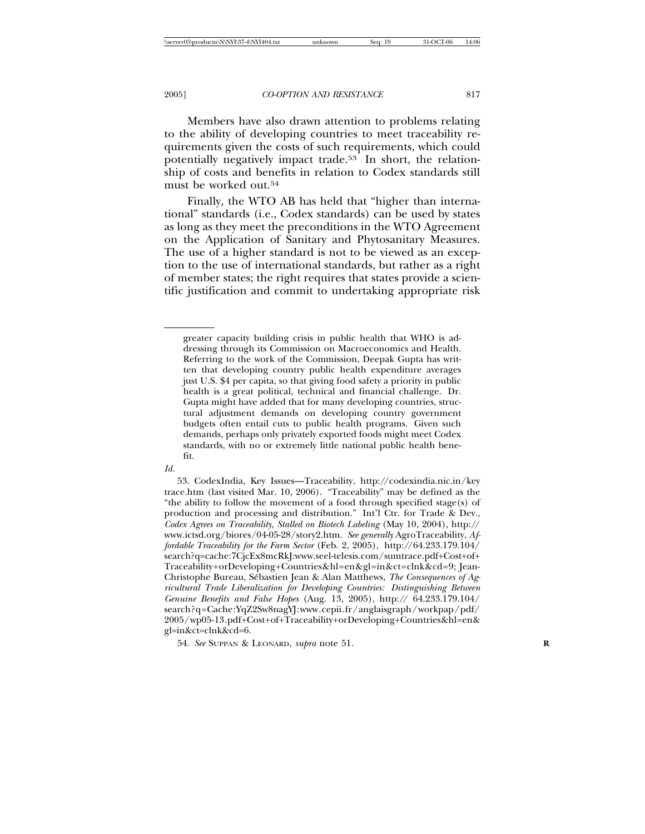Members have also drawn attention to problems relating to the ability of developing countries to meet traceability requirements given the costs of such requirements, which could potentially negatively impact trade.53 In short, the relationship of costs and benefits in relation to Codex standards still must be worked out.54

Finally, the WTO AB has held that "higher than international" standards (i.e., Codex standards) can be used by states as long as they meet the preconditions in the WTO Agreement on the Application of Sanitary and Phytosanitary Measures. The use of a higher standard is not to be viewed as an exception to the use of international standards, but rather as a right of member states; the right requires that states provide a scientific justification and commit to undertaking appropriate risk

*Id.*

greater capacity building crisis in public health that WHO is addressing through its Commission on Macroeconomics and Health. Referring to the work of the Commission, Deepak Gupta has written that developing country public health expenditure averages just U.S. \$4 per capita, so that giving food safety a priority in public health is a great political, technical and financial challenge. Dr. Gupta might have added that for many developing countries, structural adjustment demands on developing country government budgets often entail cuts to public health programs. Given such demands, perhaps only privately exported foods might meet Codex standards, with no or extremely little national public health benefit.

<sup>53.</sup> CodexIndia, Key Issues—Traceability, http://codexindia.nic.in/key trace.htm (last visited Mar. 10, 2006). "Traceability" may be defined as the "the ability to follow the movement of a food through specified stage(s) of production and processing and distribution." Int'l Ctr. for Trade & Dev., *Codex Agrees on Traceability, Stalled on Biotech Labeling* (May 10, 2004), http:// www.ictsd.org/biores/04-05-28/story2.htm. *See generally* AgroTraceability, *Affordable Traceability for the Farm Sector* (Feb. 2, 2005), http://64.233.179.104/ search?q=cache:7CjcEx8mcRkJ:www.seel-telesis.com/sumtrace.pdf+Cost+of+ Traceability+orDeveloping+Countries&hl=en&gl=in&ct=clnk&cd=9; Jean-Christophe Bureau, Sébastien Jean & Alan Matthews, *The Consequences of Agricultural Trade Liberalization for Developing Countries: Distinguishing Between Genuine Benefits and False Hopes* (Aug. 13, 2005), http:// 64.233.179.104/ search?q=Cache:YqZ2Sw8nagYJ:www.cepii.fr/anglaisgraph/workpap/pdf/ 2005/wp05-13.pdf+Cost+of+Traceability+orDeveloping+Countries&hl=en& gl=in&ct=clnk&cd=6.

<sup>54.</sup> *See* SUPPAN & LEONARD, *supra* note 51. **R**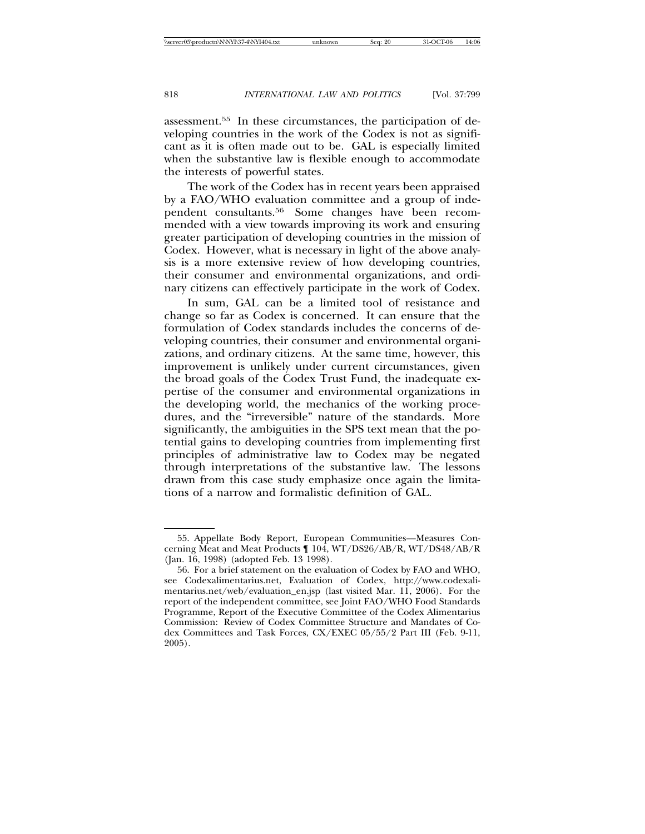assessment.55 In these circumstances, the participation of developing countries in the work of the Codex is not as significant as it is often made out to be. GAL is especially limited when the substantive law is flexible enough to accommodate the interests of powerful states.

The work of the Codex has in recent years been appraised by a FAO/WHO evaluation committee and a group of independent consultants.56 Some changes have been recommended with a view towards improving its work and ensuring greater participation of developing countries in the mission of Codex. However, what is necessary in light of the above analysis is a more extensive review of how developing countries, their consumer and environmental organizations, and ordinary citizens can effectively participate in the work of Codex.

In sum, GAL can be a limited tool of resistance and change so far as Codex is concerned. It can ensure that the formulation of Codex standards includes the concerns of developing countries, their consumer and environmental organizations, and ordinary citizens. At the same time, however, this improvement is unlikely under current circumstances, given the broad goals of the Codex Trust Fund, the inadequate expertise of the consumer and environmental organizations in the developing world, the mechanics of the working procedures, and the "irreversible" nature of the standards. More significantly, the ambiguities in the SPS text mean that the potential gains to developing countries from implementing first principles of administrative law to Codex may be negated through interpretations of the substantive law. The lessons drawn from this case study emphasize once again the limitations of a narrow and formalistic definition of GAL.

<sup>55.</sup> Appellate Body Report, European Communities—Measures Concerning Meat and Meat Products ¶ 104, WT/DS26/AB/R, WT/DS48/AB/R (Jan. 16, 1998) (adopted Feb. 13 1998).

<sup>56.</sup> For a brief statement on the evaluation of Codex by FAO and WHO, see Codexalimentarius.net, Evaluation of Codex, http://www.codexalimentarius.net/web/evaluation\_en.jsp (last visited Mar. 11, 2006). For the report of the independent committee, see Joint FAO/WHO Food Standards Programme, Report of the Executive Committee of the Codex Alimentarius Commission: Review of Codex Committee Structure and Mandates of Codex Committees and Task Forces, CX/EXEC 05/55/2 Part III (Feb. 9-11, 2005).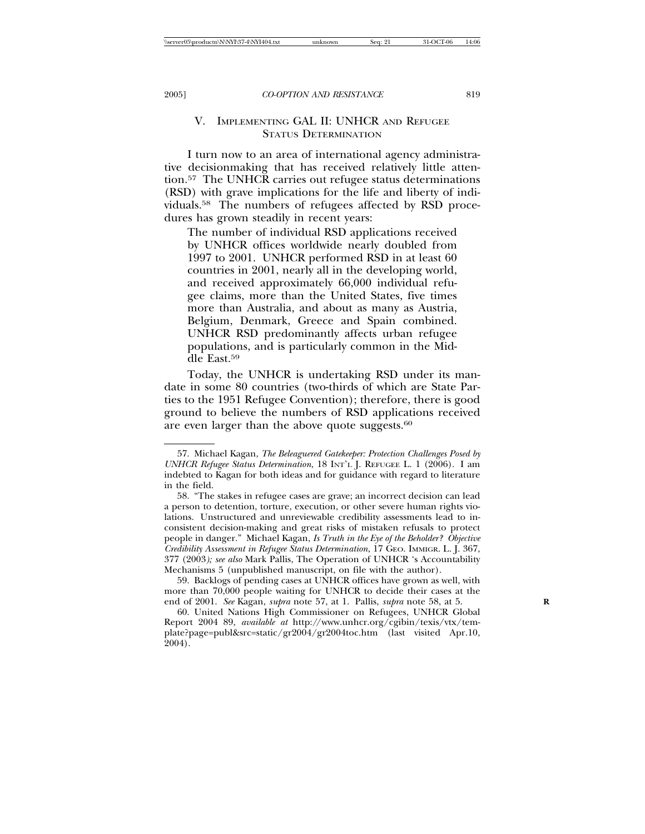# V. IMPLEMENTING GAL II: UNHCR AND REFUGEE STATUS DETERMINATION

I turn now to an area of international agency administrative decisionmaking that has received relatively little attention.57 The UNHCR carries out refugee status determinations (RSD) with grave implications for the life and liberty of individuals.58 The numbers of refugees affected by RSD procedures has grown steadily in recent years:

The number of individual RSD applications received by UNHCR offices worldwide nearly doubled from 1997 to 2001. UNHCR performed RSD in at least 60 countries in 2001, nearly all in the developing world, and received approximately 66,000 individual refugee claims, more than the United States, five times more than Australia, and about as many as Austria, Belgium, Denmark, Greece and Spain combined. UNHCR RSD predominantly affects urban refugee populations, and is particularly common in the Middle East.59

Today, the UNHCR is undertaking RSD under its mandate in some 80 countries (two-thirds of which are State Parties to the 1951 Refugee Convention); therefore, there is good ground to believe the numbers of RSD applications received are even larger than the above quote suggests.<sup>60</sup>

<sup>57.</sup> Michael Kagan, *The Beleaguered Gatekeeper: Protection Challenges Posed by UNHCR Refugee Status Determination*, 18 INT'L J. REFUGEE L. 1 (2006). I am indebted to Kagan for both ideas and for guidance with regard to literature in the field.

<sup>58. &</sup>quot;The stakes in refugee cases are grave; an incorrect decision can lead a person to detention, torture, execution, or other severe human rights violations. Unstructured and unreviewable credibility assessments lead to inconsistent decision-making and great risks of mistaken refusals to protect people in danger." Michael Kagan, *Is Truth in the Eye of the Beholder? Objective Credibility Assessment in Refugee Status Determination*, 17 GEO. IMMIGR. L. J. 367, 377 (2003*); see also* Mark Pallis, The Operation of UNHCR 's Accountability Mechanisms 5 (unpublished manuscript, on file with the author).

<sup>59.</sup> Backlogs of pending cases at UNHCR offices have grown as well, with more than 70,000 people waiting for UNHCR to decide their cases at the end of 2001. *See* Kagan, *supra* note 57, at 1. Pallis, *supra* note 58, at 5. **R**

<sup>60.</sup> United Nations High Commissioner on Refugees, UNHCR Global Report 2004 89, *available at* http://www.unhcr.org/cgibin/texis/vtx/template?page=publ&src=static/gr2004/gr2004toc.htm (last visited Apr.10, 2004).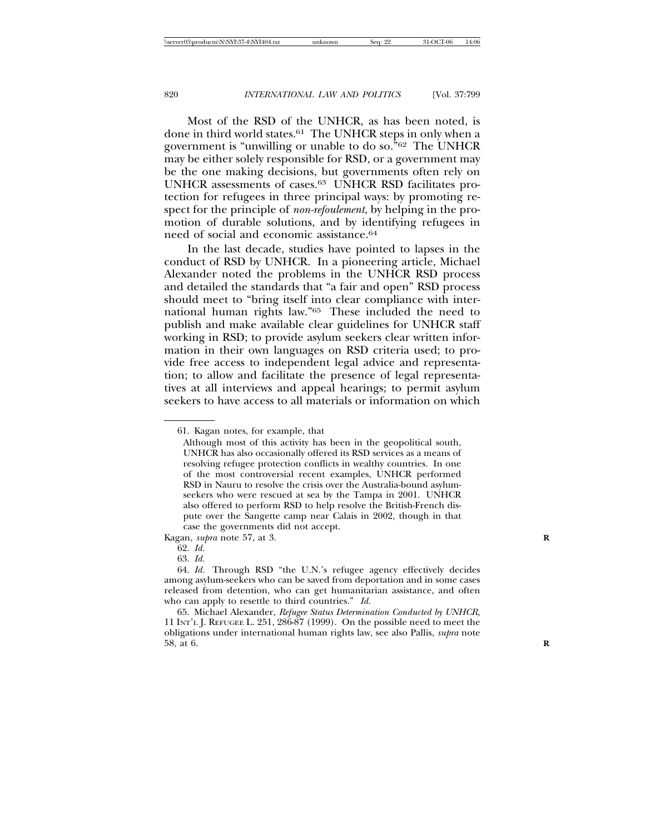Most of the RSD of the UNHCR, as has been noted, is done in third world states.61 The UNHCR steps in only when a government is "unwilling or unable to do so."62 The UNHCR may be either solely responsible for RSD, or a government may be the one making decisions, but governments often rely on UNHCR assessments of cases.63 UNHCR RSD facilitates protection for refugees in three principal ways: by promoting respect for the principle of *non-refoulement*, by helping in the promotion of durable solutions, and by identifying refugees in need of social and economic assistance.<sup>64</sup>

In the last decade, studies have pointed to lapses in the conduct of RSD by UNHCR. In a pioneering article, Michael Alexander noted the problems in the UNHCR RSD process and detailed the standards that "a fair and open" RSD process should meet to "bring itself into clear compliance with international human rights law."65 These included the need to publish and make available clear guidelines for UNHCR staff working in RSD; to provide asylum seekers clear written information in their own languages on RSD criteria used; to provide free access to independent legal advice and representation; to allow and facilitate the presence of legal representatives at all interviews and appeal hearings; to permit asylum seekers to have access to all materials or information on which

Kagan, *supra* note 57, at 3. **R**

64. *Id.* Through RSD "the U.N.'s refugee agency effectively decides among asylum-seekers who can be saved from deportation and in some cases released from detention, who can get humanitarian assistance, and often who can apply to resettle to third countries." *Id.*

65. Michael Alexander, *Refugee Status Determination Conducted by UNHCR,* 11 INT'L J. REFUGEE L. 251, 286-87 (1999). On the possible need to meet the obligations under international human rights law, see also Pallis, *supra* note 58, at 6. **R**

<sup>61.</sup> Kagan notes, for example, that

Although most of this activity has been in the geopolitical south, UNHCR has also occasionally offered its RSD services as a means of resolving refugee protection conflicts in wealthy countries. In one of the most controversial recent examples, UNHCR performed RSD in Nauru to resolve the crisis over the Australia-bound asylumseekers who were rescued at sea by the Tampa in 2001. UNHCR also offered to perform RSD to help resolve the British-French dispute over the Sangette camp near Calais in 2002, though in that case the governments did not accept.

<sup>62.</sup> *Id.*

<sup>63.</sup> *Id.*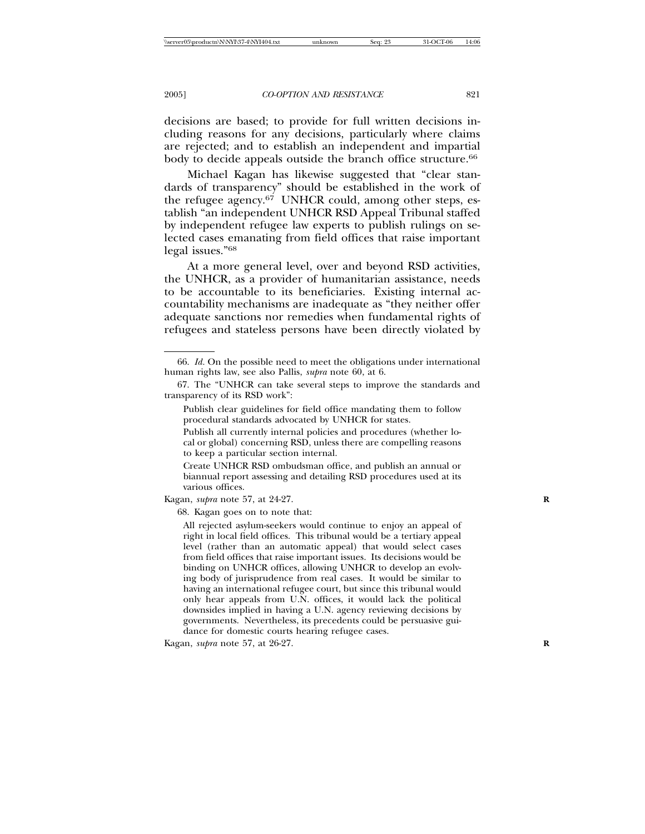decisions are based; to provide for full written decisions including reasons for any decisions, particularly where claims are rejected; and to establish an independent and impartial body to decide appeals outside the branch office structure.<sup>66</sup>

Michael Kagan has likewise suggested that "clear standards of transparency" should be established in the work of the refugee agency.67 UNHCR could, among other steps, establish "an independent UNHCR RSD Appeal Tribunal staffed by independent refugee law experts to publish rulings on selected cases emanating from field offices that raise important legal issues."68

At a more general level, over and beyond RSD activities, the UNHCR, as a provider of humanitarian assistance, needs to be accountable to its beneficiaries. Existing internal accountability mechanisms are inadequate as "they neither offer adequate sanctions nor remedies when fundamental rights of refugees and stateless persons have been directly violated by

Publish clear guidelines for field office mandating them to follow procedural standards advocated by UNHCR for states.

Publish all currently internal policies and procedures (whether local or global) concerning RSD, unless there are compelling reasons to keep a particular section internal.

Create UNHCR RSD ombudsman office, and publish an annual or biannual report assessing and detailing RSD procedures used at its various offices.

Kagan, *supra* note 57, at 24-27. **R**

68. Kagan goes on to note that:

All rejected asylum-seekers would continue to enjoy an appeal of right in local field offices. This tribunal would be a tertiary appeal level (rather than an automatic appeal) that would select cases from field offices that raise important issues. Its decisions would be binding on UNHCR offices, allowing UNHCR to develop an evolving body of jurisprudence from real cases. It would be similar to having an international refugee court, but since this tribunal would only hear appeals from U.N. offices, it would lack the political downsides implied in having a U.N. agency reviewing decisions by governments. Nevertheless, its precedents could be persuasive guidance for domestic courts hearing refugee cases.

Kagan, *supra* note 57, at 26-27. **R**

<sup>66.</sup> *Id.* On the possible need to meet the obligations under international human rights law, see also Pallis, *supra* note 60, at 6.

<sup>67.</sup> The "UNHCR can take several steps to improve the standards and transparency of its RSD work":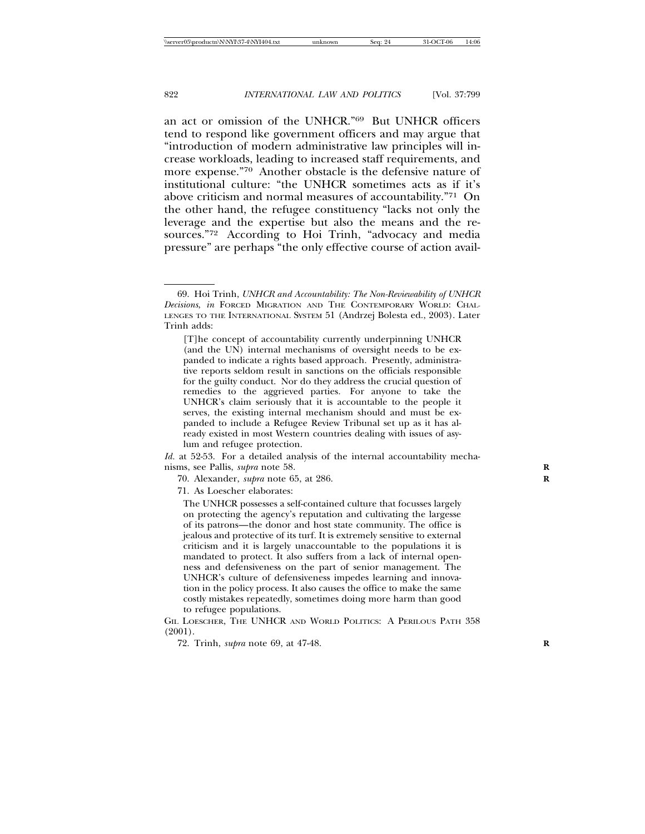an act or omission of the UNHCR."69 But UNHCR officers tend to respond like government officers and may argue that "introduction of modern administrative law principles will increase workloads, leading to increased staff requirements, and more expense."70 Another obstacle is the defensive nature of institutional culture: "the UNHCR sometimes acts as if it's above criticism and normal measures of accountability."71 On the other hand, the refugee constituency "lacks not only the leverage and the expertise but also the means and the resources."72 According to Hoi Trinh, "advocacy and media pressure" are perhaps "the only effective course of action avail-

*Id.* at 52-53. For a detailed analysis of the internal accountability mechanisms, see Pallis, *supra* note 58. **R**

70. Alexander, *supra* note 65, at 286. **R**

71. As Loescher elaborates:

The UNHCR possesses a self-contained culture that focusses largely on protecting the agency's reputation and cultivating the largesse of its patrons—the donor and host state community. The office is jealous and protective of its turf. It is extremely sensitive to external criticism and it is largely unaccountable to the populations it is mandated to protect. It also suffers from a lack of internal openness and defensiveness on the part of senior management. The UNHCR's culture of defensiveness impedes learning and innovation in the policy process. It also causes the office to make the same costly mistakes repeatedly, sometimes doing more harm than good to refugee populations.

GIL LOESCHER, THE UNHCR AND WORLD POLITICS: A PERILOUS PATH 358 (2001).

72. Trinh, *supra* note 69, at 47-48. **R**

<sup>69.</sup> Hoi Trinh, *UNHCR and Accountability: The Non-Reviewability of UNHCR Decisions*, *in* FORCED MIGRATION AND THE CONTEMPORARY WORLD: CHAL-LENGES TO THE INTERNATIONAL SYSTEM 51 (Andrzej Bolesta ed., 2003). Later Trinh adds:

<sup>[</sup>T]he concept of accountability currently underpinning UNHCR (and the UN) internal mechanisms of oversight needs to be expanded to indicate a rights based approach. Presently, administrative reports seldom result in sanctions on the officials responsible for the guilty conduct. Nor do they address the crucial question of remedies to the aggrieved parties. For anyone to take the UNHCR's claim seriously that it is accountable to the people it serves, the existing internal mechanism should and must be expanded to include a Refugee Review Tribunal set up as it has already existed in most Western countries dealing with issues of asylum and refugee protection.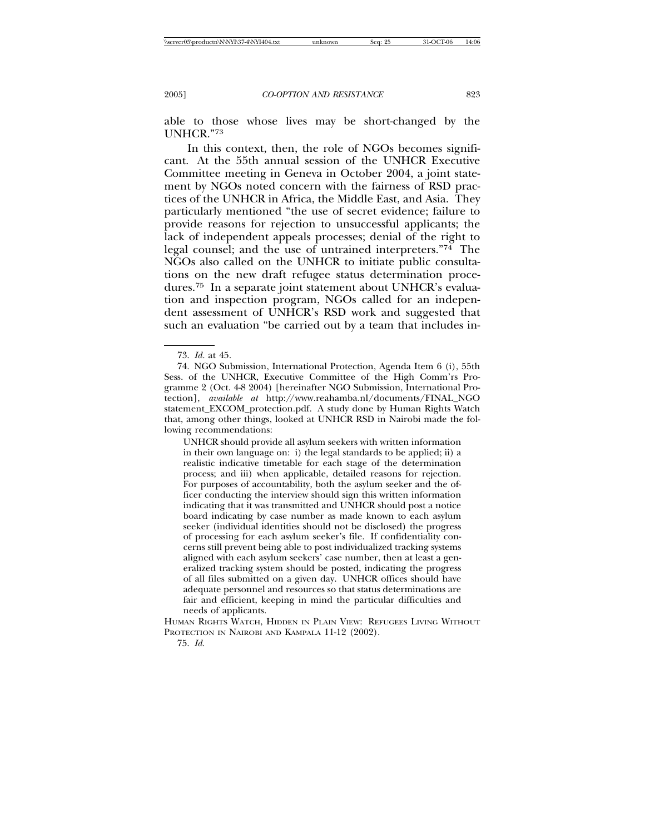able to those whose lives may be short-changed by the UNHCR."73

In this context, then, the role of NGOs becomes significant. At the 55th annual session of the UNHCR Executive Committee meeting in Geneva in October 2004, a joint statement by NGOs noted concern with the fairness of RSD practices of the UNHCR in Africa, the Middle East, and Asia. They particularly mentioned "the use of secret evidence; failure to provide reasons for rejection to unsuccessful applicants; the lack of independent appeals processes; denial of the right to legal counsel; and the use of untrained interpreters."74 The NGOs also called on the UNHCR to initiate public consultations on the new draft refugee status determination procedures.75 In a separate joint statement about UNHCR's evaluation and inspection program, NGOs called for an independent assessment of UNHCR's RSD work and suggested that such an evaluation "be carried out by a team that includes in-

UNHCR should provide all asylum seekers with written information in their own language on: i) the legal standards to be applied; ii) a realistic indicative timetable for each stage of the determination process; and iii) when applicable, detailed reasons for rejection. For purposes of accountability, both the asylum seeker and the officer conducting the interview should sign this written information indicating that it was transmitted and UNHCR should post a notice board indicating by case number as made known to each asylum seeker (individual identities should not be disclosed) the progress of processing for each asylum seeker's file. If confidentiality concerns still prevent being able to post individualized tracking systems aligned with each asylum seekers' case number, then at least a generalized tracking system should be posted, indicating the progress of all files submitted on a given day. UNHCR offices should have adequate personnel and resources so that status determinations are fair and efficient, keeping in mind the particular difficulties and needs of applicants.

HUMAN RIGHTS WATCH, HIDDEN IN PLAIN VIEW: REFUGEES LIVING WITHOUT PROTECTION IN NAIROBI AND KAMPALA 11-12 (2002).

75. *Id.*

<sup>73.</sup> *Id.* at 45.

<sup>74.</sup> NGO Submission, International Protection, Agenda Item 6 (i), 55th Sess. of the UNHCR, Executive Committee of the High Comm'rs Programme 2 (Oct. 4-8 2004) [hereinafter NGO Submission, International Protection], *available at* http://www.reahamba.nl/documents/FINAL\_NGO statement\_EXCOM\_protection.pdf. A study done by Human Rights Watch that, among other things, looked at UNHCR RSD in Nairobi made the following recommendations: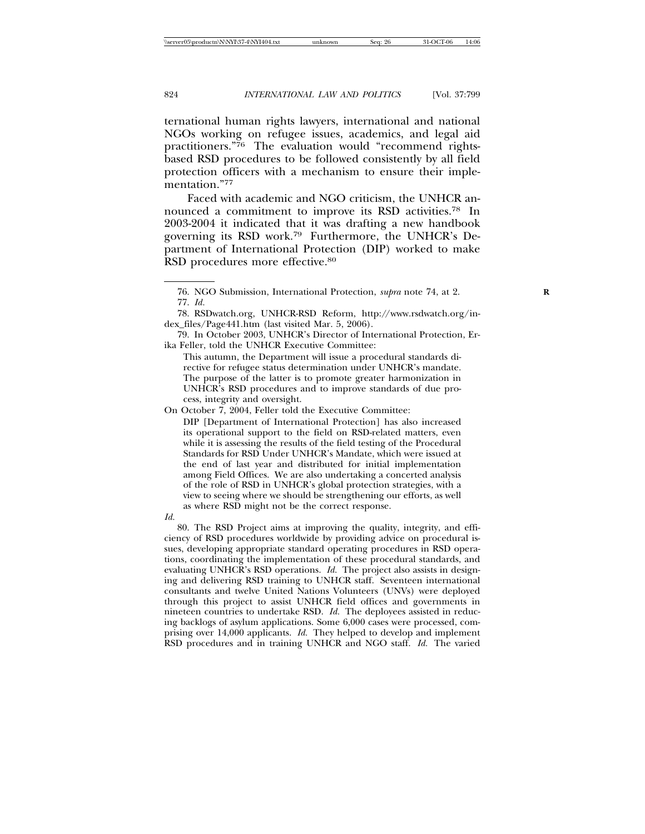ternational human rights lawyers, international and national NGOs working on refugee issues, academics, and legal aid practitioners."76 The evaluation would "recommend rightsbased RSD procedures to be followed consistently by all field protection officers with a mechanism to ensure their implementation."77

Faced with academic and NGO criticism, the UNHCR announced a commitment to improve its RSD activities.78 In 2003-2004 it indicated that it was drafting a new handbook governing its RSD work.79 Furthermore, the UNHCR's Department of International Protection (DIP) worked to make RSD procedures more effective.80

79. In October 2003, UNHCR's Director of International Protection, Erika Feller, told the UNHCR Executive Committee:

This autumn, the Department will issue a procedural standards directive for refugee status determination under UNHCR's mandate. The purpose of the latter is to promote greater harmonization in UNHCR's RSD procedures and to improve standards of due process, integrity and oversight.

On October 7, 2004, Feller told the Executive Committee: DIP [Department of International Protection] has also increased its operational support to the field on RSD-related matters, even while it is assessing the results of the field testing of the Procedural Standards for RSD Under UNHCR's Mandate, which were issued at the end of last year and distributed for initial implementation among Field Offices. We are also undertaking a concerted analysis of the role of RSD in UNHCR's global protection strategies, with a view to seeing where we should be strengthening our efforts, as well as where RSD might not be the correct response.

*Id.*

80. The RSD Project aims at improving the quality, integrity, and efficiency of RSD procedures worldwide by providing advice on procedural issues, developing appropriate standard operating procedures in RSD operations, coordinating the implementation of these procedural standards, and evaluating UNHCR's RSD operations. *Id.* The project also assists in designing and delivering RSD training to UNHCR staff. Seventeen international consultants and twelve United Nations Volunteers (UNVs) were deployed through this project to assist UNHCR field offices and governments in nineteen countries to undertake RSD. *Id.* The deployees assisted in reducing backlogs of asylum applications. Some 6,000 cases were processed, comprising over 14,000 applicants. *Id.* They helped to develop and implement RSD procedures and in training UNHCR and NGO staff. *Id.* The varied

<sup>76.</sup> NGO Submission, International Protection, *supra* note 74, at 2. **R** 77. *Id.*

<sup>78.</sup> RSDwatch.org, UNHCR-RSD Reform, http://www.rsdwatch.org/index\_files/Page441.htm (last visited Mar. 5, 2006).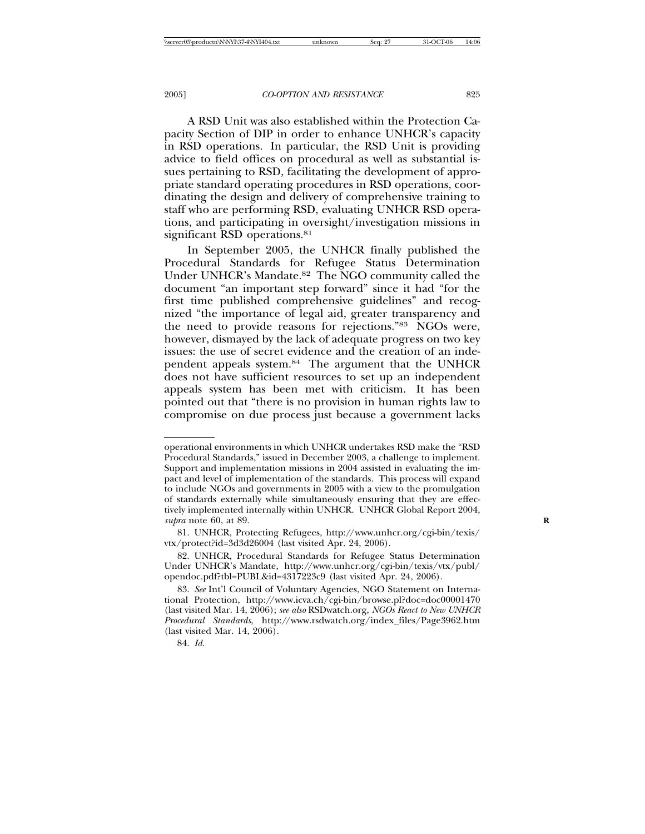A RSD Unit was also established within the Protection Capacity Section of DIP in order to enhance UNHCR's capacity in RSD operations. In particular, the RSD Unit is providing advice to field offices on procedural as well as substantial issues pertaining to RSD, facilitating the development of appropriate standard operating procedures in RSD operations, coordinating the design and delivery of comprehensive training to staff who are performing RSD, evaluating UNHCR RSD operations, and participating in oversight/investigation missions in significant RSD operations.<sup>81</sup>

In September 2005, the UNHCR finally published the Procedural Standards for Refugee Status Determination Under UNHCR's Mandate.82 The NGO community called the document "an important step forward" since it had "for the first time published comprehensive guidelines" and recognized "the importance of legal aid, greater transparency and the need to provide reasons for rejections."83 NGOs were, however, dismayed by the lack of adequate progress on two key issues: the use of secret evidence and the creation of an independent appeals system.84 The argument that the UNHCR does not have sufficient resources to set up an independent appeals system has been met with criticism. It has been pointed out that "there is no provision in human rights law to compromise on due process just because a government lacks

operational environments in which UNHCR undertakes RSD make the "RSD Procedural Standards," issued in December 2003, a challenge to implement. Support and implementation missions in 2004 assisted in evaluating the impact and level of implementation of the standards. This process will expand to include NGOs and governments in 2005 with a view to the promulgation of standards externally while simultaneously ensuring that they are effectively implemented internally within UNHCR. UNHCR Global Report 2004, *supra* note 60, at 89. **R**

<sup>81.</sup> UNHCR, Protecting Refugees, http://www.unhcr.org/cgi-bin/texis/ vtx/protect?id=3d3d26004 (last visited Apr. 24, 2006).

<sup>82.</sup> UNHCR, Procedural Standards for Refugee Status Determination Under UNHCR's Mandate, http://www.unhcr.org/cgi-bin/texis/vtx/publ/ opendoc.pdf?tbl=PUBL&id=4317223c9 (last visited Apr. 24, 2006).

<sup>83.</sup> *See* Int'l Council of Voluntary Agencies, NGO Statement on International Protection, http://www.icva.ch/cgi-bin/browse.pl?doc=doc00001470 (last visited Mar. 14, 2006); *see also* RSDwatch.org, *NGOs React to New UNHCR Procedural Standards*, http://www.rsdwatch.org/index\_files/Page3962.htm (last visited Mar. 14, 2006).

<sup>84.</sup> *Id.*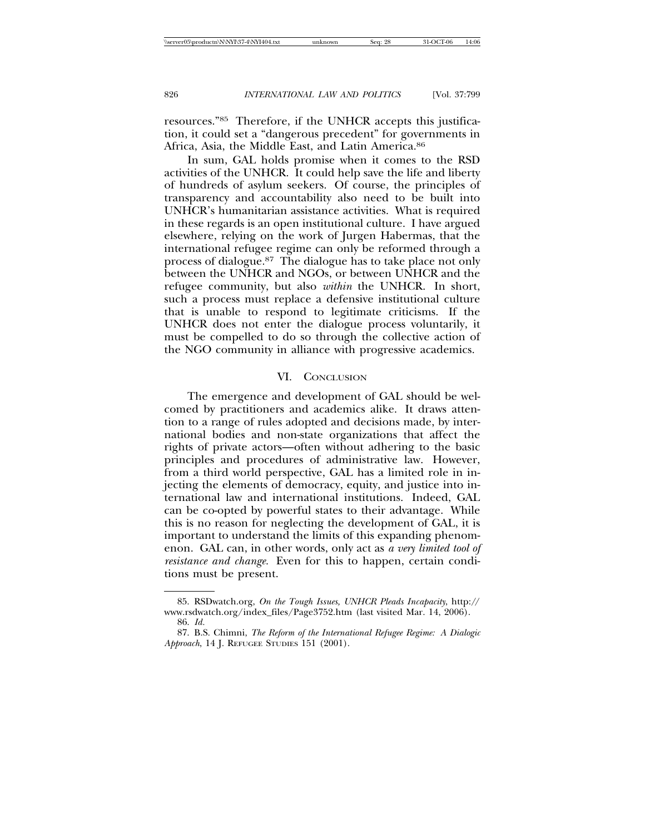resources."85 Therefore, if the UNHCR accepts this justification, it could set a "dangerous precedent" for governments in Africa, Asia, the Middle East, and Latin America.86

In sum, GAL holds promise when it comes to the RSD activities of the UNHCR. It could help save the life and liberty of hundreds of asylum seekers. Of course, the principles of transparency and accountability also need to be built into UNHCR's humanitarian assistance activities. What is required in these regards is an open institutional culture. I have argued elsewhere, relying on the work of Jurgen Habermas, that the international refugee regime can only be reformed through a process of dialogue.87 The dialogue has to take place not only between the UNHCR and NGOs, or between UNHCR and the refugee community, but also *within* the UNHCR. In short, such a process must replace a defensive institutional culture that is unable to respond to legitimate criticisms. If the UNHCR does not enter the dialogue process voluntarily, it must be compelled to do so through the collective action of the NGO community in alliance with progressive academics.

# VI. CONCLUSION

The emergence and development of GAL should be welcomed by practitioners and academics alike. It draws attention to a range of rules adopted and decisions made, by international bodies and non-state organizations that affect the rights of private actors—often without adhering to the basic principles and procedures of administrative law. However, from a third world perspective, GAL has a limited role in injecting the elements of democracy, equity, and justice into international law and international institutions. Indeed, GAL can be co-opted by powerful states to their advantage. While this is no reason for neglecting the development of GAL, it is important to understand the limits of this expanding phenomenon. GAL can, in other words, only act as *a very limited tool of resistance and change.* Even for this to happen, certain conditions must be present.

<sup>85.</sup> RSDwatch.org, *On the Tough Issues, UNHCR Pleads Incapacity*, http:// www.rsdwatch.org/index\_files/Page3752.htm (last visited Mar. 14, 2006).

<sup>86.</sup> *Id.*

<sup>87.</sup> B.S. Chimni, *The Reform of the International Refugee Regime: A Dialogic Approach*, 14 J. REFUGEE STUDIES 151 (2001).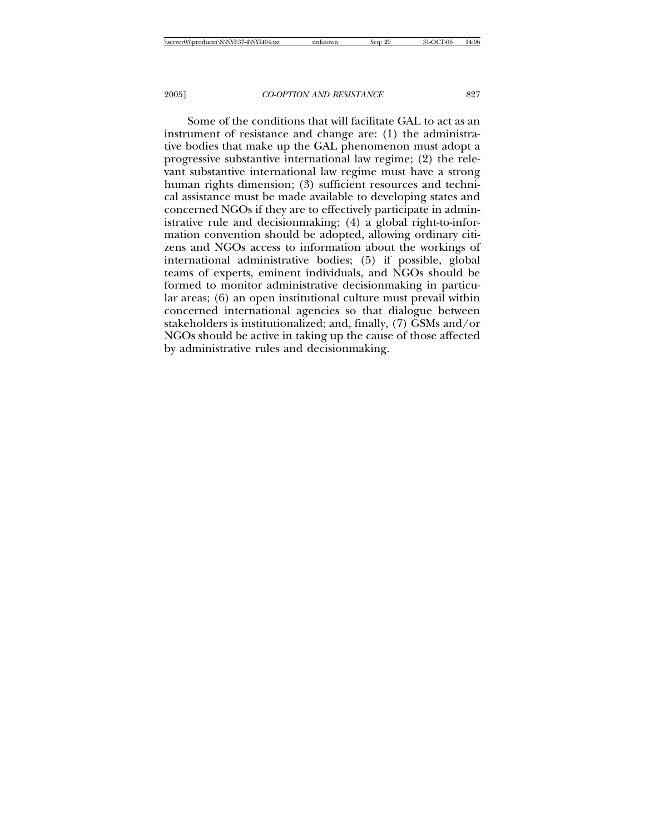Some of the conditions that will facilitate GAL to act as an instrument of resistance and change are: (1) the administrative bodies that make up the GAL phenomenon must adopt a progressive substantive international law regime; (2) the relevant substantive international law regime must have a strong human rights dimension; (3) sufficient resources and technical assistance must be made available to developing states and concerned NGOs if they are to effectively participate in administrative rule and decisionmaking; (4) a global right-to-information convention should be adopted, allowing ordinary citizens and NGOs access to information about the workings of international administrative bodies; (5) if possible, global teams of experts, eminent individuals, and NGOs should be formed to monitor administrative decisionmaking in particular areas; (6) an open institutional culture must prevail within concerned international agencies so that dialogue between stakeholders is institutionalized; and, finally, (7) GSMs and/or NGOs should be active in taking up the cause of those affected by administrative rules and decisionmaking.